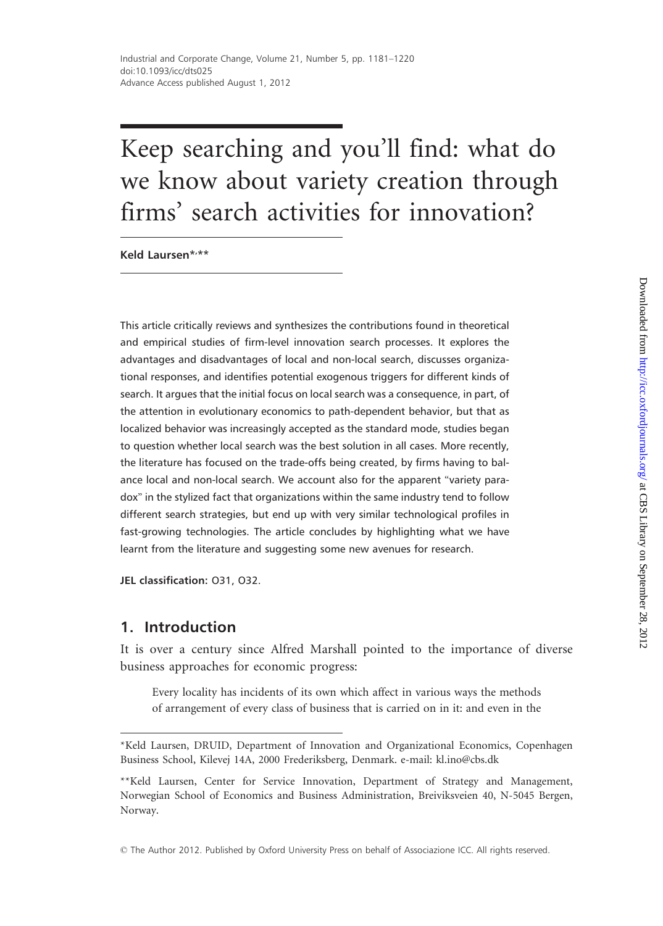# Keep searching and you'll find: what do we know about variety creation through firms' search activities for innovation?

Keld Laursen\*, \*\*

This article critically reviews and synthesizes the contributions found in theoretical and empirical studies of firm-level innovation search processes. It explores the advantages and disadvantages of local and non-local search, discusses organizational responses, and identifies potential exogenous triggers for different kinds of search. It argues that the initial focus on local search was a consequence, in part, of the attention in evolutionary economics to path-dependent behavior, but that as localized behavior was increasingly accepted as the standard mode, studies began to question whether local search was the best solution in all cases. More recently, the literature has focused on the trade-offs being created, by firms having to balance local and non-local search. We account also for the apparent "variety paradox" in the stylized fact that organizations within the same industry tend to follow different search strategies, but end up with very similar technological profiles in fast-growing technologies. The article concludes by highlighting what we have learnt from the literature and suggesting some new avenues for research.

JEL classification: O31, O32.

## 1. Introduction

It is over a century since Alfred Marshall pointed to the importance of diverse business approaches for economic progress:

Every locality has incidents of its own which affect in various ways the methods of arrangement of every class of business that is carried on in it: and even in the

- The Author 2012. Published by Oxford University Press on behalf of Associazione ICC. All rights reserved.

<sup>\*</sup>Keld Laursen, DRUID, Department of Innovation and Organizational Economics, Copenhagen Business School, Kilevej 14A, 2000 Frederiksberg, Denmark. e-mail: kl.ino@cbs.dk

<sup>\*\*</sup>Keld Laursen, Center for Service Innovation, Department of Strategy and Management, Norwegian School of Economics and Business Administration, Breiviksveien 40, N-5045 Bergen, Norway.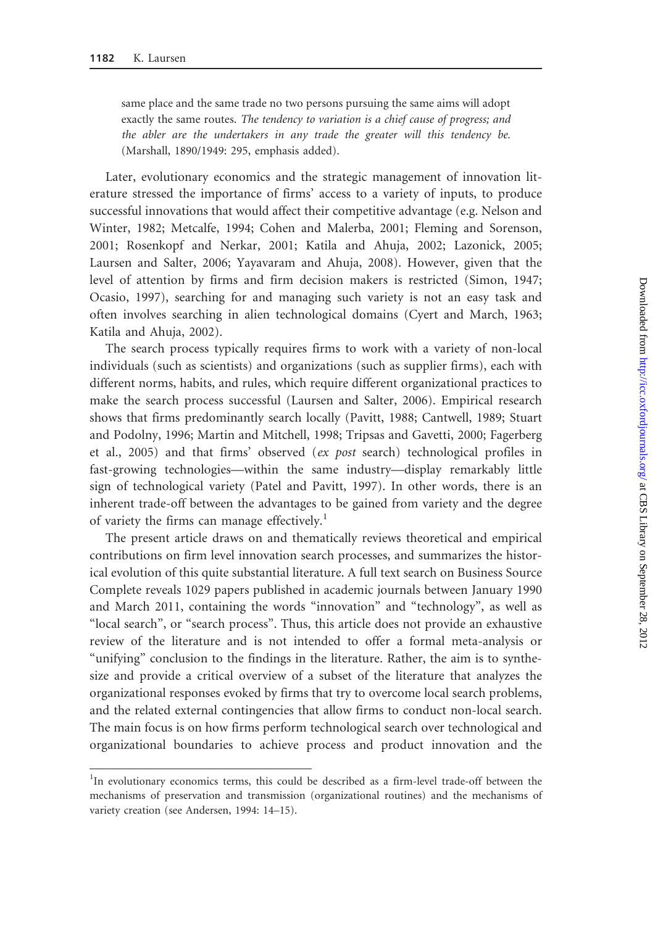same place and the same trade no two persons pursuing the same aims will adopt exactly the same routes. The tendency to variation is a chief cause of progress; and the abler are the undertakers in any trade the greater will this tendency be. ([Marshall, 1890/1949:](#page-35-0) 295, emphasis added).

Later, evolutionary economics and the strategic management of innovation literature stressed the importance of firms' access to a variety of inputs, to produce successful innovations that would affect their competitive advantage (e.g. [Nelson and](#page-36-0) [Winter, 1982;](#page-36-0) [Metcalfe, 1994;](#page-35-0) [Cohen and Malerba, 2001](#page-31-0); [Fleming and Sorenson,](#page-32-0) [2001;](#page-32-0) [Rosenkopf and Nerkar, 2001;](#page-37-0) [Katila and Ahuja, 2002](#page-33-0); [Lazonick, 2005;](#page-34-0) [Laursen and Salter, 2006](#page-34-0); [Yayavaram and Ahuja, 2008](#page-39-0)). However, given that the level of attention by firms and firm decision makers is restricted [\(Simon, 1947;](#page-38-0) [Ocasio, 1997\)](#page-36-0), searching for and managing such variety is not an easy task and often involves searching in alien technological domains ([Cyert and March, 1963;](#page-31-0) [Katila and Ahuja, 2002\)](#page-33-0).

The search process typically requires firms to work with a variety of non-local individuals (such as scientists) and organizations (such as supplier firms), each with different norms, habits, and rules, which require different organizational practices to make the search process successful [\(Laursen and Salter, 2006](#page-34-0)). Empirical research shows that firms predominantly search locally ([Pavitt, 1988;](#page-36-0) [Cantwell, 1989;](#page-30-0) [Stuart](#page-38-0) [and Podolny, 1996](#page-38-0); [Martin and Mitchell, 1998](#page-35-0); [Tripsas and Gavetti, 2000;](#page-38-0) [Fagerberg](#page-32-0) [et al., 2005\)](#page-32-0) and that firms' observed (ex post search) technological profiles in fast-growing technologies—within the same industry—display remarkably little sign of technological variety [\(Patel and Pavitt, 1997](#page-36-0)). In other words, there is an inherent trade-off between the advantages to be gained from variety and the degree of variety the firms can manage effectively.<sup>1</sup>

The present article draws on and thematically reviews theoretical and empirical contributions on firm level innovation search processes, and summarizes the historical evolution of this quite substantial literature. A full text search on Business Source Complete reveals 1029 papers published in academic journals between January 1990 and March 2011, containing the words "innovation" and "technology", as well as "local search", or "search process". Thus, this article does not provide an exhaustive review of the literature and is not intended to offer a formal meta-analysis or "unifying" conclusion to the findings in the literature. Rather, the aim is to synthesize and provide a critical overview of a subset of the literature that analyzes the organizational responses evoked by firms that try to overcome local search problems, and the related external contingencies that allow firms to conduct non-local search. The main focus is on how firms perform technological search over technological and organizational boundaries to achieve process and product innovation and the

<sup>&</sup>lt;sup>1</sup>In evolutionary economics terms, this could be described as a firm-level trade-off between the mechanisms of preservation and transmission (organizational routines) and the mechanisms of variety creation (see [Andersen, 1994](#page-30-0): 14–15).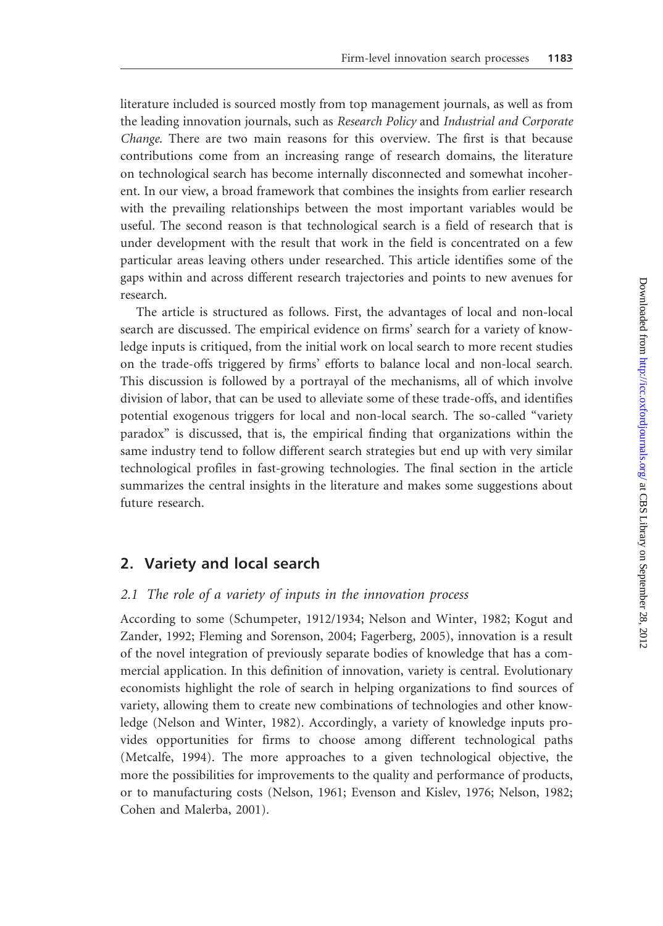literature included is sourced mostly from top management journals, as well as from the leading innovation journals, such as Research Policy and Industrial and Corporate Change. There are two main reasons for this overview. The first is that because contributions come from an increasing range of research domains, the literature on technological search has become internally disconnected and somewhat incoherent. In our view, a broad framework that combines the insights from earlier research with the prevailing relationships between the most important variables would be useful. The second reason is that technological search is a field of research that is under development with the result that work in the field is concentrated on a few particular areas leaving others under researched. This article identifies some of the gaps within and across different research trajectories and points to new avenues for research.

The article is structured as follows. First, the advantages of local and non-local search are discussed. The empirical evidence on firms' search for a variety of knowledge inputs is critiqued, from the initial work on local search to more recent studies on the trade-offs triggered by firms' efforts to balance local and non-local search. This discussion is followed by a portrayal of the mechanisms, all of which involve division of labor, that can be used to alleviate some of these trade-offs, and identifies potential exogenous triggers for local and non-local search. The so-called "variety paradox" is discussed, that is, the empirical finding that organizations within the same industry tend to follow different search strategies but end up with very similar technological profiles in fast-growing technologies. The final section in the article summarizes the central insights in the literature and makes some suggestions about future research.

## 2. Variety and local search

#### 2.1 The role of a variety of inputs in the innovation process

According to some [\(Schumpeter, 1912/1934;](#page-37-0) [Nelson and Winter, 1982;](#page-36-0) [Kogut and](#page-34-0) [Zander, 1992](#page-34-0); [Fleming and Sorenson, 2004; Fagerberg, 2005](#page-32-0)), innovation is a result of the novel integration of previously separate bodies of knowledge that has a commercial application. In this definition of innovation, variety is central. Evolutionary economists highlight the role of search in helping organizations to find sources of variety, allowing them to create new combinations of technologies and other knowledge ([Nelson and Winter, 1982\)](#page-36-0). Accordingly, a variety of knowledge inputs provides opportunities for firms to choose among different technological paths [\(Metcalfe, 1994\)](#page-35-0). The more approaches to a given technological objective, the more the possibilities for improvements to the quality and performance of products, or to manufacturing costs [\(Nelson, 1961](#page-36-0); [Evenson and Kislev, 1976;](#page-31-0) [Nelson, 1982;](#page-36-0) [Cohen and Malerba, 2001\)](#page-31-0).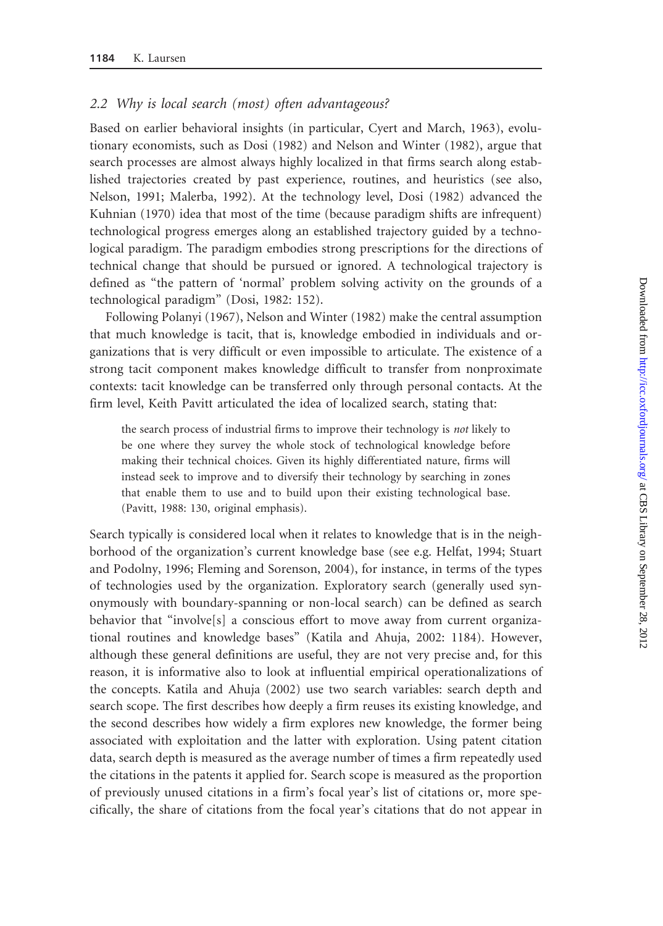#### 2.2 Why is local search (most) often advantageous?

Based on earlier behavioral insights (in particular, [Cyert and March, 1963](#page-31-0)), evolutionary economists, such as [Dosi \(1982\)](#page-31-0) and Nelson and Winter [\(1982\)](#page-36-0), argue that search processes are almost always highly localized in that firms search along established trajectories created by past experience, routines, and heuristics (see also, [Nelson, 1991](#page-36-0); [Malerba, 1992\)](#page-35-0). At the technology level, [Dosi \(1982\)](#page-31-0) advanced the [Kuhnian \(1970\)](#page-34-0) idea that most of the time (because paradigm shifts are infrequent) technological progress emerges along an established trajectory guided by a technological paradigm. The paradigm embodies strong prescriptions for the directions of technical change that should be pursued or ignored. A technological trajectory is defined as "the pattern of 'normal' problem solving activity on the grounds of a technological paradigm" ([Dosi, 1982](#page-31-0): 152).

Following [Polanyi \(1967\),](#page-37-0) [Nelson and Winter \(1982\)](#page-36-0) make the central assumption that much knowledge is tacit, that is, knowledge embodied in individuals and organizations that is very difficult or even impossible to articulate. The existence of a strong tacit component makes knowledge difficult to transfer from nonproximate contexts: tacit knowledge can be transferred only through personal contacts. At the firm level, Keith Pavitt articulated the idea of localized search, stating that:

the search process of industrial firms to improve their technology is not likely to be one where they survey the whole stock of technological knowledge before making their technical choices. Given its highly differentiated nature, firms will instead seek to improve and to diversify their technology by searching in zones that enable them to use and to build upon their existing technological base. ([Pavitt, 1988](#page-36-0): 130, original emphasis).

Search typically is considered local when it relates to knowledge that is in the neighborhood of the organization's current knowledge base (see e.g. [Helfat, 1994](#page-33-0); [Stuart](#page-38-0) [and Podolny, 1996](#page-38-0); [Fleming and Sorenson, 2004](#page-32-0)), for instance, in terms of the types of technologies used by the organization. Exploratory search (generally used synonymously with boundary-spanning or non-local search) can be defined as search behavior that "involve[s] a conscious effort to move away from current organizational routines and knowledge bases" [\(Katila and Ahuja, 2002:](#page-33-0) 1184). However, although these general definitions are useful, they are not very precise and, for this reason, it is informative also to look at influential empirical operationalizations of the concepts. [Katila and Ahuja \(2002\)](#page-33-0) use two search variables: search depth and search scope. The first describes how deeply a firm reuses its existing knowledge, and the second describes how widely a firm explores new knowledge, the former being associated with exploitation and the latter with exploration. Using patent citation data, search depth is measured as the average number of times a firm repeatedly used the citations in the patents it applied for. Search scope is measured as the proportion of previously unused citations in a firm's focal year's list of citations or, more specifically, the share of citations from the focal year's citations that do not appear in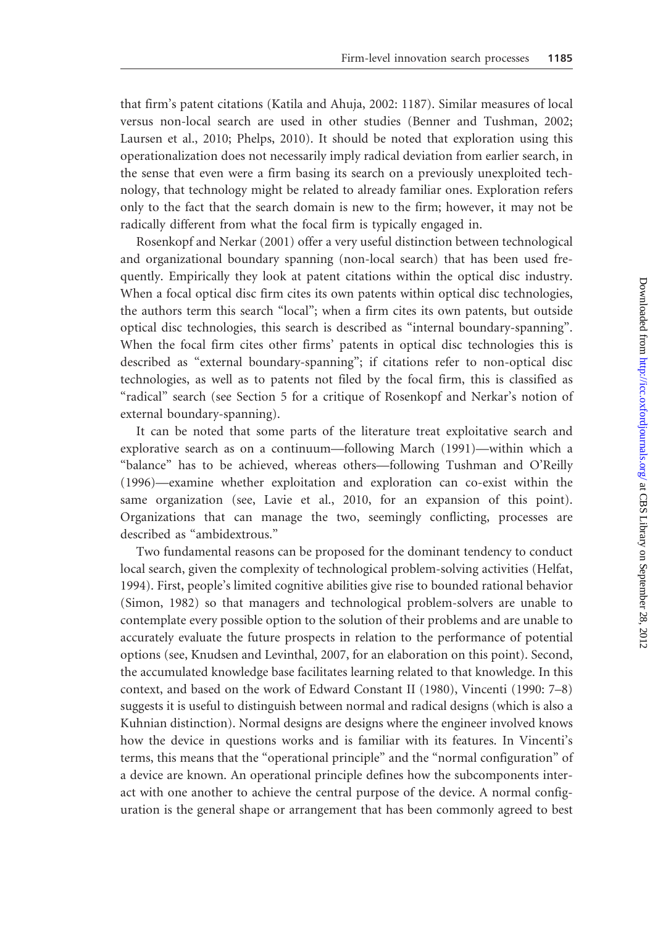that firm's patent citations ([Katila and Ahuja, 2002](#page-33-0): 1187). Similar measures of local versus non-local search are used in other studies ([Benner and Tushman, 2002;](#page-30-0) [Laursen et al., 2010;](#page-34-0) [Phelps, 2010\)](#page-37-0). It should be noted that exploration using this operationalization does not necessarily imply radical deviation from earlier search, in the sense that even were a firm basing its search on a previously unexploited technology, that technology might be related to already familiar ones. Exploration refers only to the fact that the search domain is new to the firm; however, it may not be radically different from what the focal firm is typically engaged in.

[Rosenkopf and Nerkar \(2001\)](#page-37-0) offer a very useful distinction between technological and organizational boundary spanning (non-local search) that has been used frequently. Empirically they look at patent citations within the optical disc industry. When a focal optical disc firm cites its own patents within optical disc technologies, the authors term this search "local"; when a firm cites its own patents, but outside optical disc technologies, this search is described as "internal boundary-spanning". When the focal firm cites other firms' patents in optical disc technologies this is described as "external boundary-spanning"; if citations refer to non-optical disc technologies, as well as to patents not filed by the focal firm, this is classified as "radical" search (see Section 5 for a critique of Rosenkopf and Nerkar's notion of external boundary-spanning).

It can be noted that some parts of the literature treat exploitative search and explorative search as on a continuum—following March (1991)—within which a "balance" has to be achieved, whereas others—following [Tushman and O'Reilly](#page-38-0) [\(1996\)](#page-38-0)—examine whether exploitation and exploration can co-exist within the same organization (see, [Lavie et al., 2010](#page-34-0), for an expansion of this point). Organizations that can manage the two, seemingly conflicting, processes are described as "ambidextrous."

Two fundamental reasons can be proposed for the dominant tendency to conduct local search, given the complexity of technological problem-solving activities [\(Helfat,](#page-33-0) [1994\)](#page-33-0). First, people's limited cognitive abilities give rise to bounded rational behavior [\(Simon, 1982](#page-38-0)) so that managers and technological problem-solvers are unable to contemplate every possible option to the solution of their problems and are unable to accurately evaluate the future prospects in relation to the performance of potential options (see, [Knudsen and Levinthal, 2007,](#page-34-0) for an elaboration on this point). Second, the accumulated knowledge base facilitates learning related to that knowledge. In this context, and based on the work of Edward Constant II ([1980\)](#page-31-0), Vincenti ([1990:](#page-38-0) 7–8) suggests it is useful to distinguish between normal and radical designs (which is also a Kuhnian distinction). Normal designs are designs where the engineer involved knows how the device in questions works and is familiar with its features. In Vincenti's terms, this means that the "operational principle" and the "normal configuration" of a device are known. An operational principle defines how the subcomponents interact with one another to achieve the central purpose of the device. A normal configuration is the general shape or arrangement that has been commonly agreed to best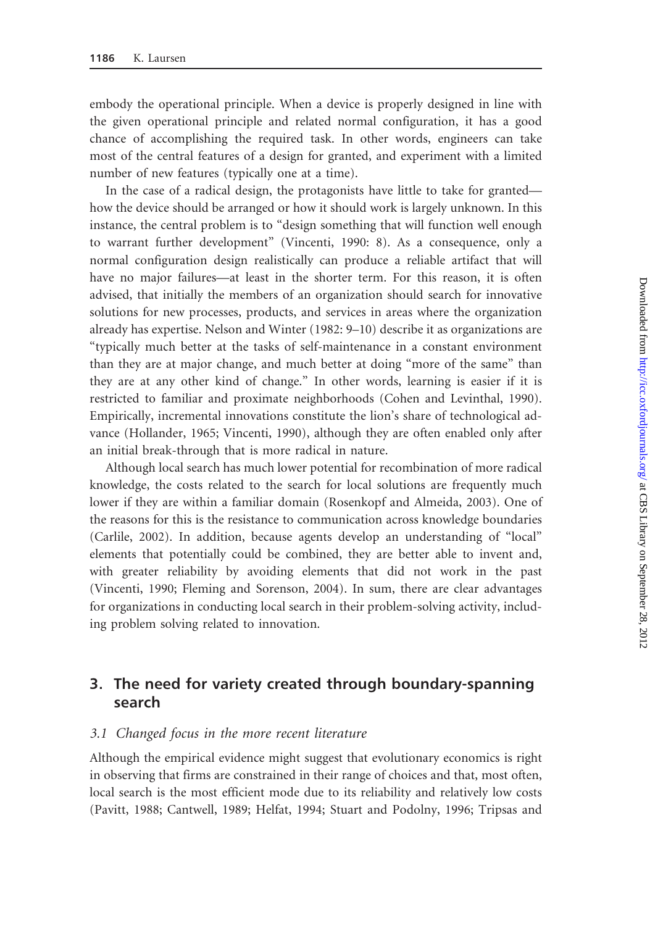embody the operational principle. When a device is properly designed in line with the given operational principle and related normal configuration, it has a good chance of accomplishing the required task. In other words, engineers can take most of the central features of a design for granted, and experiment with a limited number of new features (typically one at a time).

In the case of a radical design, the protagonists have little to take for granted how the device should be arranged or how it should work is largely unknown. In this instance, the central problem is to "design something that will function well enough to warrant further development" [\(Vincenti, 1990:](#page-38-0) 8). As a consequence, only a normal configuration design realistically can produce a reliable artifact that will have no major failures—at least in the shorter term. For this reason, it is often advised, that initially the members of an organization should search for innovative solutions for new processes, products, and services in areas where the organization already has expertise. Nelson and Winter ([1982:](#page-36-0) 9–10) describe it as organizations are "typically much better at the tasks of self-maintenance in a constant environment than they are at major change, and much better at doing "more of the same" than they are at any other kind of change." In other words, learning is easier if it is restricted to familiar and proximate neighborhoods [\(Cohen and Levinthal, 1990](#page-31-0)). Empirically, incremental innovations constitute the lion's share of technological advance [\(Hollander, 1965;](#page-33-0) [Vincenti, 1990](#page-38-0)), although they are often enabled only after an initial break-through that is more radical in nature.

Although local search has much lower potential for recombination of more radical knowledge, the costs related to the search for local solutions are frequently much lower if they are within a familiar domain ([Rosenkopf and Almeida, 2003](#page-37-0)). One of the reasons for this is the resistance to communication across knowledge boundaries [\(Carlile, 2002\)](#page-30-0). In addition, because agents develop an understanding of "local" elements that potentially could be combined, they are better able to invent and, with greater reliability by avoiding elements that did not work in the past [\(Vincenti, 1990;](#page-38-0) [Fleming and Sorenson, 2004](#page-32-0)). In sum, there are clear advantages for organizations in conducting local search in their problem-solving activity, including problem solving related to innovation.

# 3. The need for variety created through boundary-spanning search

#### 3.1 Changed focus in the more recent literature

Although the empirical evidence might suggest that evolutionary economics is right in observing that firms are constrained in their range of choices and that, most often, local search is the most efficient mode due to its reliability and relatively low costs [\(Pavitt, 1988;](#page-36-0) [Cantwell, 1989](#page-30-0); [Helfat, 1994](#page-33-0); [Stuart and Podolny, 1996](#page-38-0); [Tripsas and](#page-38-0)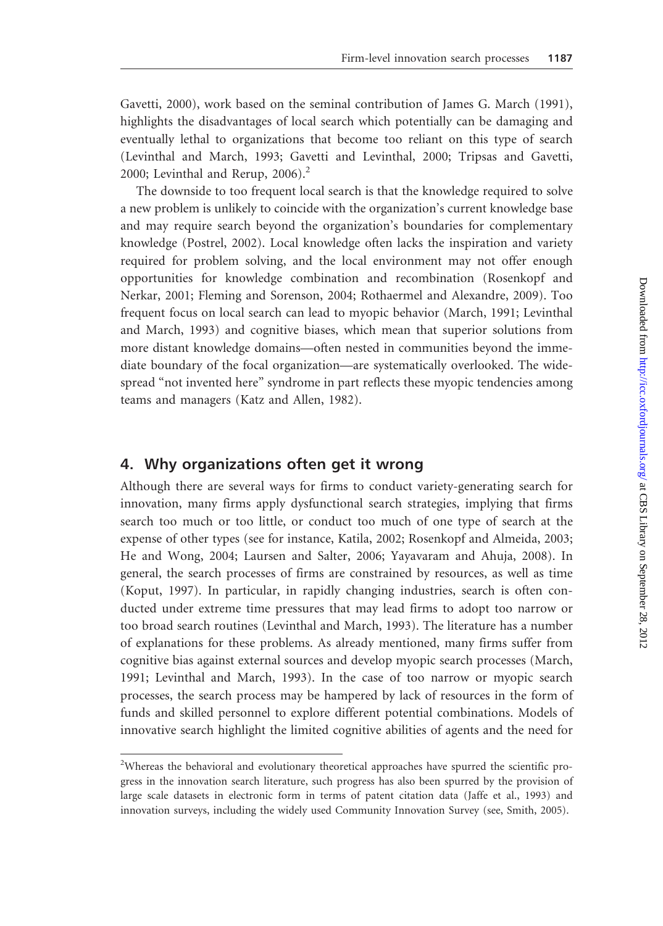[Gavetti, 2000](#page-38-0)), work based on the seminal contribution of [James G. March \(1991\),](#page-35-0) highlights the disadvantages of local search which potentially can be damaging and eventually lethal to organizations that become too reliant on this type of search [\(Levinthal and March, 1993;](#page-35-0) [Gavetti and Levinthal, 2000](#page-32-0); [Tripsas and Gavetti,](#page-38-0) [2000;](#page-38-0) Levinthal and Rerup,  $2006$ ).<sup>2</sup>

The downside to too frequent local search is that the knowledge required to solve a new problem is unlikely to coincide with the organization's current knowledge base and may require search beyond the organization's boundaries for complementary knowledge ([Postrel, 2002\)](#page-37-0). Local knowledge often lacks the inspiration and variety required for problem solving, and the local environment may not offer enough opportunities for knowledge combination and recombination [\(Rosenkopf and](#page-37-0) [Nerkar, 2001;](#page-37-0) [Fleming and Sorenson, 2004;](#page-32-0) [Rothaermel and Alexandre, 2009\)](#page-37-0). Too frequent focus on local search can lead to myopic behavior ([March, 1991; Levinthal](#page-35-0) [and March, 1993\)](#page-35-0) and cognitive biases, which mean that superior solutions from more distant knowledge domains—often nested in communities beyond the immediate boundary of the focal organization—are systematically overlooked. The widespread "not invented here" syndrome in part reflects these myopic tendencies among teams and managers ([Katz and Allen, 1982](#page-34-0)).

## 4. Why organizations often get it wrong

Although there are several ways for firms to conduct variety-generating search for innovation, many firms apply dysfunctional search strategies, implying that firms search too much or too little, or conduct too much of one type of search at the expense of other types (see for instance, [Katila, 2002](#page-33-0); [Rosenkopf and Almeida, 2003;](#page-37-0) [He and Wong, 2004;](#page-33-0) [Laursen and Salter, 2006](#page-34-0); [Yayavaram and Ahuja, 2008](#page-39-0)). In general, the search processes of firms are constrained by resources, as well as time [\(Koput, 1997\)](#page-34-0). In particular, in rapidly changing industries, search is often conducted under extreme time pressures that may lead firms to adopt too narrow or too broad search routines ([Levinthal and March, 1993\)](#page-35-0). The literature has a number of explanations for these problems. As already mentioned, many firms suffer from cognitive bias against external sources and develop myopic search processes ([March,](#page-35-0) [1991; Levinthal and March, 1993](#page-35-0)). In the case of too narrow or myopic search processes, the search process may be hampered by lack of resources in the form of funds and skilled personnel to explore different potential combinations. Models of innovative search highlight the limited cognitive abilities of agents and the need for

<sup>&</sup>lt;sup>2</sup>Whereas the behavioral and evolutionary theoretical approaches have spurred the scientific progress in the innovation search literature, such progress has also been spurred by the provision of large scale datasets in electronic form in terms of patent citation data [\(Jaffe et al., 1993](#page-33-0)) and innovation surveys, including the widely used Community Innovation Survey (see, [Smith, 2005](#page-38-0)).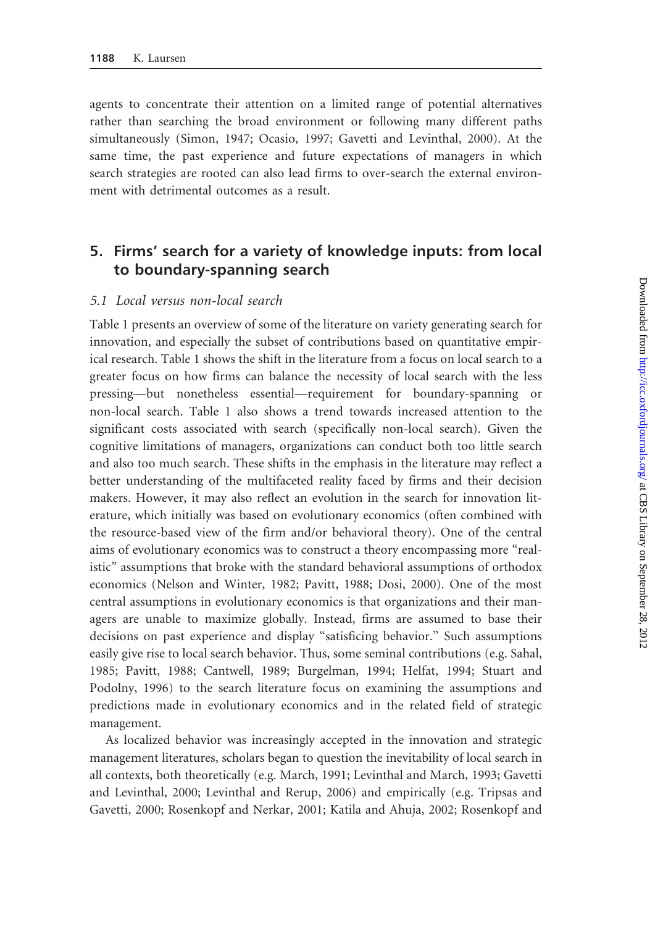agents to concentrate their attention on a limited range of potential alternatives rather than searching the broad environment or following many different paths simultaneously [\(Simon, 1947](#page-38-0); [Ocasio, 1997](#page-36-0); [Gavetti and Levinthal, 2000](#page-32-0)). At the same time, the past experience and future expectations of managers in which search strategies are rooted can also lead firms to over-search the external environment with detrimental outcomes as a result.

# 5. Firms' search for a variety of knowledge inputs: from local to boundary-spanning search

#### 5.1 Local versus non-local search

[Table 1](#page-8-0) presents an overview of some of the literature on variety generating search for innovation, and especially the subset of contributions based on quantitative empirical research. [Table 1](#page-8-0) shows the shift in the literature from a focus on local search to a greater focus on how firms can balance the necessity of local search with the less pressing—but nonetheless essential—requirement for boundary-spanning or non-local search. [Table 1](#page-8-0) also shows a trend towards increased attention to the significant costs associated with search (specifically non-local search). Given the cognitive limitations of managers, organizations can conduct both too little search and also too much search. These shifts in the emphasis in the literature may reflect a better understanding of the multifaceted reality faced by firms and their decision makers. However, it may also reflect an evolution in the search for innovation literature, which initially was based on evolutionary economics (often combined with the resource-based view of the firm and/or behavioral theory). One of the central aims of evolutionary economics was to construct a theory encompassing more "realistic" assumptions that broke with the standard behavioral assumptions of orthodox economics ([Nelson and Winter, 1982; Pavitt, 1988](#page-36-0); [Dosi, 2000\)](#page-31-0). One of the most central assumptions in evolutionary economics is that organizations and their managers are unable to maximize globally. Instead, firms are assumed to base their decisions on past experience and display "satisficing behavior." Such assumptions easily give rise to local search behavior. Thus, some seminal contributions (e.g. [Sahal,](#page-37-0) [1985;](#page-37-0) [Pavitt, 1988](#page-36-0); [Cantwell, 1989; Burgelman, 1994](#page-30-0); [Helfat, 1994;](#page-33-0) [Stuart and](#page-38-0) [Podolny, 1996\)](#page-38-0) to the search literature focus on examining the assumptions and predictions made in evolutionary economics and in the related field of strategic management.

As localized behavior was increasingly accepted in the innovation and strategic management literatures, scholars began to question the inevitability of local search in all contexts, both theoretically (e.g. [March, 1991](#page-35-0); [Levinthal and March, 1993](#page-35-0); [Gavetti](#page-32-0) [and Levinthal, 2000;](#page-32-0) [Levinthal and Rerup, 2006\)](#page-35-0) and empirically (e.g. [Tripsas and](#page-38-0) [Gavetti, 2000](#page-38-0); [Rosenkopf and Nerkar, 2001](#page-37-0); [Katila and Ahuja, 2002;](#page-33-0) [Rosenkopf and](#page-37-0)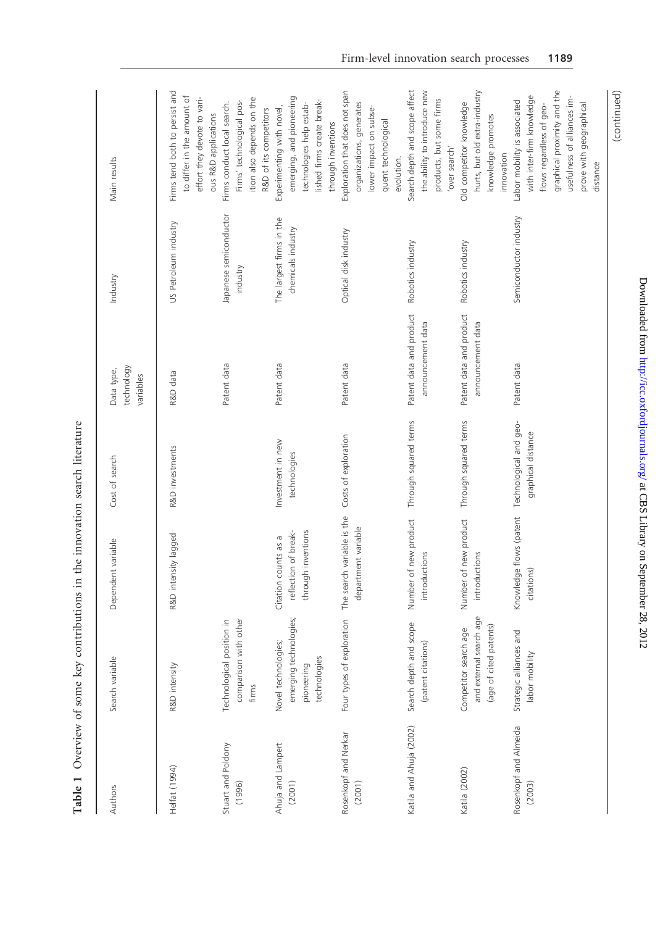<span id="page-8-0"></span>

| Authors                                                                                                                                                                                                                                                                                                                                                                                          | Search variable                                                               | Dependent variable                                                 | Cost of search                    | technology<br>Data type,<br>variables        | Industry                                       | Main results                                                                                                                                                                   |
|--------------------------------------------------------------------------------------------------------------------------------------------------------------------------------------------------------------------------------------------------------------------------------------------------------------------------------------------------------------------------------------------------|-------------------------------------------------------------------------------|--------------------------------------------------------------------|-----------------------------------|----------------------------------------------|------------------------------------------------|--------------------------------------------------------------------------------------------------------------------------------------------------------------------------------|
| Helfat (1994)                                                                                                                                                                                                                                                                                                                                                                                    | R&D intensity                                                                 | R&D intensity lagged                                               | R&D investments                   | R&D data                                     | US Petroleum industry                          | Firms tend both to persist and<br>to differ in the amount of<br>effort they devote to vari-                                                                                    |
| Stuart and Poldony<br>(1996)                                                                                                                                                                                                                                                                                                                                                                     | Technological position in<br>comparison with other<br>firms                   |                                                                    |                                   | Patent data                                  | Japanese semiconductor<br>industry             | ition also depends on the<br>Firms' technological pos-<br>Firms conduct local search.<br>R&D of its competitors<br>ous R&D applications                                        |
| Ahuja and Lampert<br>(2001)                                                                                                                                                                                                                                                                                                                                                                      | emerging technologies;<br>Novel technologies;<br>technologies<br>pioneering   | through inventions<br>reflection of break-<br>Citation counts as a | Investment in new<br>technologies | Patent data                                  | The largest firms in the<br>chemicals industry | emerging, and pioneering<br>lished firms create break-<br>technologies help estab-<br>Experimenting with novel,<br>through inventions                                          |
| Rosenkopf and Nerkar<br>(2001)                                                                                                                                                                                                                                                                                                                                                                   | of exploration<br>Four types                                                  | The search variable is the<br>department variable                  | Costs of exploration              | Patent data                                  | Optical disk industry                          | Exploration that does not span<br>organizations, generates<br>lower impact on subse-<br>quent technological<br>evolution.                                                      |
| <atila (2002)<="" ahuja="" and="" td=""><td>Search depth and scope<br/>citations)<br/>(patent</td><td>Number of new product<br/>introductions</td><td>Through squared terms</td><td>Patent data and product<br/>announcement data</td><td>Robotics industry</td><td>Search depth and scope affect<br/>the ability to introduce new<br/>products, but some firms<br/>'over search'</td></atila>   | Search depth and scope<br>citations)<br>(patent                               | Number of new product<br>introductions                             | Through squared terms             | Patent data and product<br>announcement data | Robotics industry                              | Search depth and scope affect<br>the ability to introduce new<br>products, but some firms<br>'over search'                                                                     |
| <atila (2002)<="" td=""><td>and external search age<br/>cited patents)<br/>Competitor search age<br/>(age of</td><td>Number of new product<br/>introductions</td><td>Through squared terms</td><td>Patent data and product<br/>announcement data</td><td>Robotics industry</td><td>hurts, but old extra-industry<br/>Old competitor knowledge<br/>knowledge promotes<br/>innovation</td></atila> | and external search age<br>cited patents)<br>Competitor search age<br>(age of | Number of new product<br>introductions                             | Through squared terms             | Patent data and product<br>announcement data | Robotics industry                              | hurts, but old extra-industry<br>Old competitor knowledge<br>knowledge promotes<br>innovation                                                                                  |
| Rosenkopf and Almeida<br>(2003)                                                                                                                                                                                                                                                                                                                                                                  | Strategic alliances and<br>labor mobility                                     | Knowledge flows (patent Technological and geo-<br>citations)       | graphical distance                | Patent data                                  | Semiconductor industry                         | graphical proximity and the<br>with inter-firm knowledge<br>usefulness of alliances im-<br>Labor mobility is associated<br>prove with geographical<br>flows regardless of geo- |

Table 1 Overview of some key contributions in the innovation search literature Table 1 Overview of some key contributions in the innovation search literature

(continued) distance

(continued)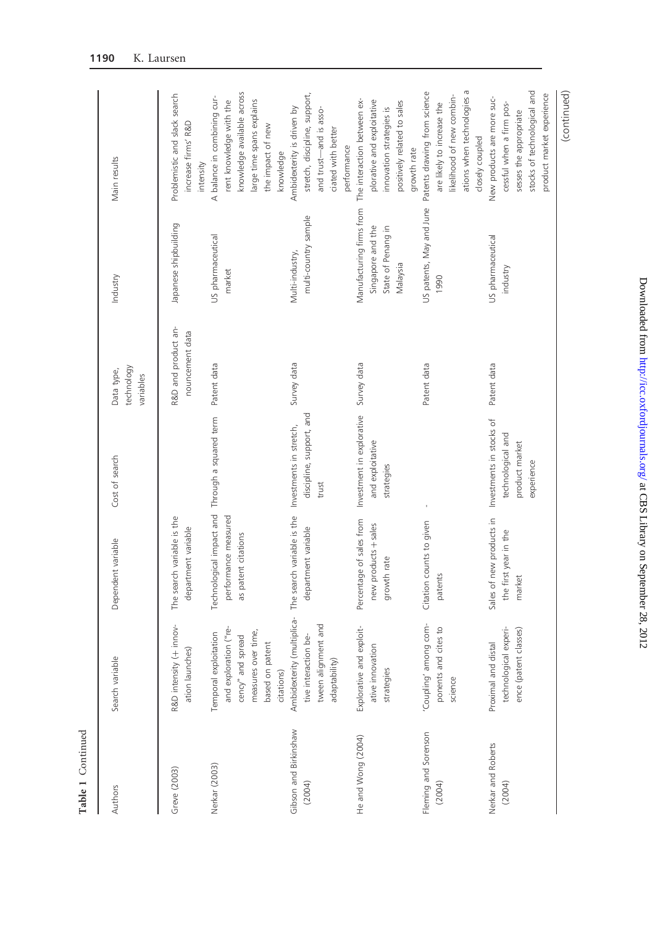| Authors                         | Search variable                                                                                                             | Dependent variable                                                                             | Cost of search                                                                | technology<br>Data type,<br>variables  | Industry                                                                        | Main results                                                                                                                                                     |
|---------------------------------|-----------------------------------------------------------------------------------------------------------------------------|------------------------------------------------------------------------------------------------|-------------------------------------------------------------------------------|----------------------------------------|---------------------------------------------------------------------------------|------------------------------------------------------------------------------------------------------------------------------------------------------------------|
| Greve (2003)                    | R&D intensity (+ innov-<br>ation launches)                                                                                  | The search variable is the<br>department variable                                              |                                                                               | R&D and product an-<br>nouncement data | Japanese shipbuilding                                                           | Problemistic and slack search<br>increase firms' R&D                                                                                                             |
| Nerkar (2003)                   | and exploration ("re-<br>measures over time,<br>Temporal exploitation<br>cency" and spread<br>based on patent<br>citations) | Technological impact and Through a squared term<br>performance measured<br>as patent citations |                                                                               | Patent data                            | US pharmaceutical<br>market                                                     | knowledge available across<br>A balance in combining cur-<br>rent knowledge with the<br>large time spans explains<br>the impact of new<br>knowledge<br>intensity |
| Gibson and Birkinshaw<br>(2004) | Ambidexterity (multiplica-<br>tween alignment and<br>tive interaction be-<br>adaptability)                                  | The search variable is the<br>department variable                                              | discipline, support, and<br>Investments in stretch,<br>trust                  | Survey data                            | multi-country sample<br>Multi-industry,                                         | stretch, discipline, support,<br>Ambidexterity is driven by<br>and trust-and is asso-<br>ciated with better<br>performance                                       |
| He and Wong (2004)              | Explorative and exploit-<br>ative innovation<br>strategies                                                                  | Percentage of sales from<br>new products + sales<br>growth rate                                | Investment in explorative<br>and exploitative<br>strategies                   | Survey data                            | Manufacturing firms from<br>Singapore and the<br>State of Penang in<br>Malaysia | The interaction between ex-<br>plorative and exploitative<br>positively related to sales<br>innovation strategies is<br>growth rate                              |
| Fleming and Sorenson<br>(2004)  | 'Coupling' among com-<br>ponents and cites to<br>science                                                                    | Citation counts to given<br>patents                                                            |                                                                               | Patent data                            | US patents, May and June<br>1990                                                | ations when technologies a<br>Patents drawing from science<br>likelihood of new combin-<br>are likely to increase the<br>closely coupled                         |
| Nerkar and Roberts<br>(2004)    | technological experi-<br>ence (patent classes)<br>Proximal and distal                                                       | Sales of new products in<br>the first year in the<br>market                                    | Investments in stocks of<br>technological and<br>product market<br>experience | Patent data                            | US pharmaceutical<br>industry                                                   | stocks of technological and<br>product market experience<br>New products are more suc-<br>cessful when a firm pos-<br>sesses the appropriate                     |
|                                 |                                                                                                                             |                                                                                                |                                                                               |                                        |                                                                                 | (continued)                                                                                                                                                      |

Table 1 Continued

Table 1 Continued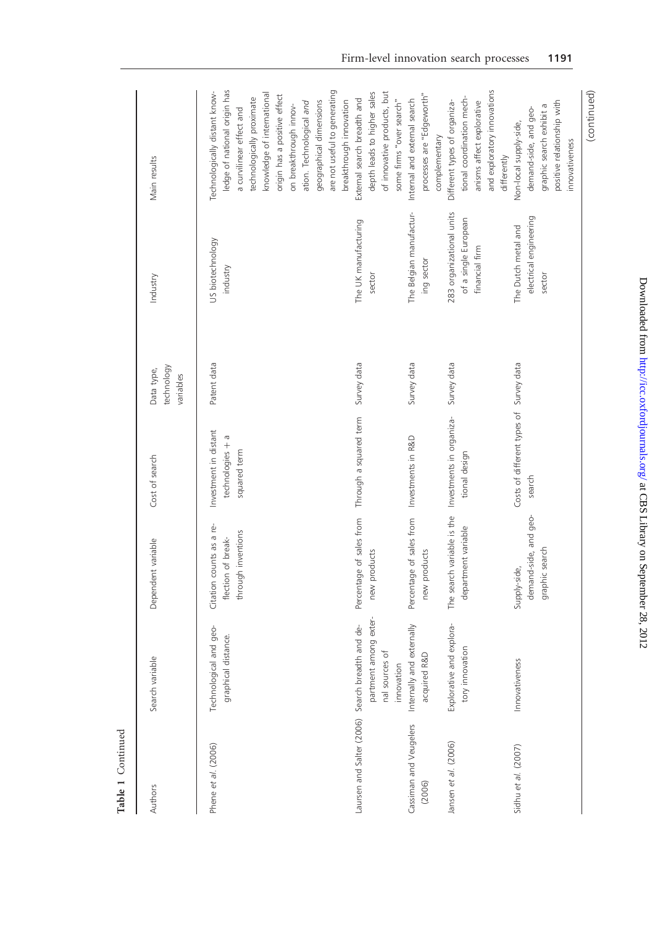| Authors                                                                    | Search variable                                                                    | Dependent variable                                                                                             | Cost of search                                            | technology<br>Data type,<br>variables | Industry                                                           | Main results                                                                                                                                                                                                                                                                                                                     |
|----------------------------------------------------------------------------|------------------------------------------------------------------------------------|----------------------------------------------------------------------------------------------------------------|-----------------------------------------------------------|---------------------------------------|--------------------------------------------------------------------|----------------------------------------------------------------------------------------------------------------------------------------------------------------------------------------------------------------------------------------------------------------------------------------------------------------------------------|
| Phene et al. (2006)                                                        | Technological and geo-<br>graphical distance.                                      | Citation counts as a re-<br>through inventions<br>flection of break-                                           | Investment in distant<br>technologies + a<br>squared term | Patent data                           | US biotechnology<br>industry                                       | ledge of national origin has<br>are not useful to generating<br>Technologically distant know-<br>knowledge of international<br>origin has a positive effect<br>technologically proximate<br>geographical dimensions<br>breakthrough innovation<br>ation. Technological and<br>on breakthrough innov-<br>a curvilinear effect and |
| Laursen and Salter (2006) Search breadth and de-<br>Cassiman and Veugelers | partment among exter-<br>Internally and externally<br>nal sources of<br>innovation | Percentage of sales from Through a squared term<br>Percentage of sales from Investments in R&D<br>new products |                                                           | Survey data<br>Survey data            | The Belgian manufactur-<br>The UK manufacturing<br>sector          | of innovative products, but<br>depth leads to higher sales<br>External search breadth and<br>some firms "over search"<br>Internal and external search                                                                                                                                                                            |
| (2006)                                                                     | acquired R&D                                                                       | new products                                                                                                   |                                                           |                                       | ing sector                                                         | processes are "Edgeworth"<br>complementary                                                                                                                                                                                                                                                                                       |
| Jansen et al. (2006)                                                       | Explorative and explora-<br>tory innovation                                        | The search variable is the Investments in organiza-<br>department variable                                     | tional design                                             | Survey data                           | 283 organizational units<br>of a single European<br>financial firm | and exploratory innovations<br>tional coordination mech-<br>Different types of organiza-<br>anisms affect explorative<br>differently                                                                                                                                                                                             |
| Sidhu et al. (2007)                                                        | Innovativeness                                                                     | demand-side, and geo-<br>graphic search<br>Supply-side,                                                        | Costs of different types of Survey data<br>search         |                                       | electrical engineering<br>The Dutch metal and<br>sector            | positive relationship with<br>graphic search exhibit a<br>demand-side, and geo-<br>Non-local supply-side,<br>innovativeness                                                                                                                                                                                                      |
|                                                                            |                                                                                    |                                                                                                                |                                                           |                                       |                                                                    | (continued)                                                                                                                                                                                                                                                                                                                      |

Table 1 Continued Table 1 Continued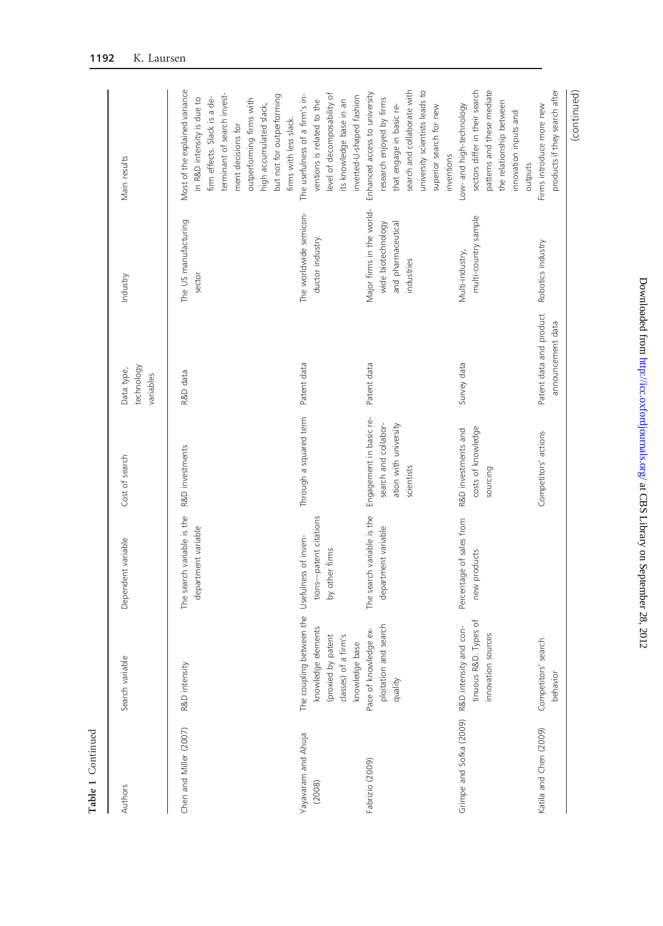| Authors                                        | Search variable                                                                                                                     | Dependent variable                                | Cost of search                                                                         | technology<br>Data type,<br>variables        | Industry                                                                            | Main results                                                                                                                                                                                                                                                    |
|------------------------------------------------|-------------------------------------------------------------------------------------------------------------------------------------|---------------------------------------------------|----------------------------------------------------------------------------------------|----------------------------------------------|-------------------------------------------------------------------------------------|-----------------------------------------------------------------------------------------------------------------------------------------------------------------------------------------------------------------------------------------------------------------|
| Chen and Miller (2007)                         | R&D intensity                                                                                                                       | The search variable is the<br>department variable | R&D investments                                                                        | R&D data                                     | The US manufacturing<br>sector                                                      | Most of the explained variance<br>terminant of search invest-<br>but not for outperforming<br>in R&D intensity is due to<br>firm effects. Slack is a de-<br>outperforming firms with<br>high accumulated slack,<br>firms with less slack.<br>ment decisions for |
| Yayavaram and Ahuja<br>(2008)                  | The coupling between the Usefulness of inven-<br>knowledge elements<br>classes) of a firm's<br>(proxied by patent<br>knowledge base | tions-patent citations<br>by other firms          | Through a squared term                                                                 | Patent data                                  | The worldwide semicon-<br>ductor industry.                                          | level of decomposability of<br>The usefulness of a firm's in-<br>inverted-U-shaped fashion<br>ventions is related to the<br>its knowledge base in an                                                                                                            |
| Fabrizio (2009)                                | ploitation and search<br>Pace of knowledge ex-<br>quality                                                                           | The search variable is the<br>department variable | Engagement in basic re-<br>ation with university<br>search and collabor-<br>scientists | Patent data                                  | Major firms in the world-<br>wide biotechnology<br>and pharmaceutical<br>industries | search and collaborate with<br>university scientists leads to<br>Enhanced access to university<br>research enjoyed by firms<br>that engage in basic re-<br>superior search for new<br>inventions                                                                |
| Grimpe and Sofka (2009) R&D intensity and con- | tinuous R&D. Types of<br>innovation sources                                                                                         | Percentage of sales from<br>new products          | costs of knowledge<br>R&D investments and<br>sourcing                                  | Survey data                                  | multi-country sample<br>Multi-industry,                                             | sectors differ in their search<br>patterns and these mediate<br>the relationship between<br>Low- and high-technology<br>innovation inputs and                                                                                                                   |
| Katila and Chen (2009)                         | Competitors' search<br>behavior                                                                                                     |                                                   | Competitors' actions                                                                   | Patent data and product<br>announcement data | Robotics industry                                                                   | products if they search after<br>(continued)<br>Firms introduce more new<br>outputs                                                                                                                                                                             |

Table 1 Continued

Table 1 Continued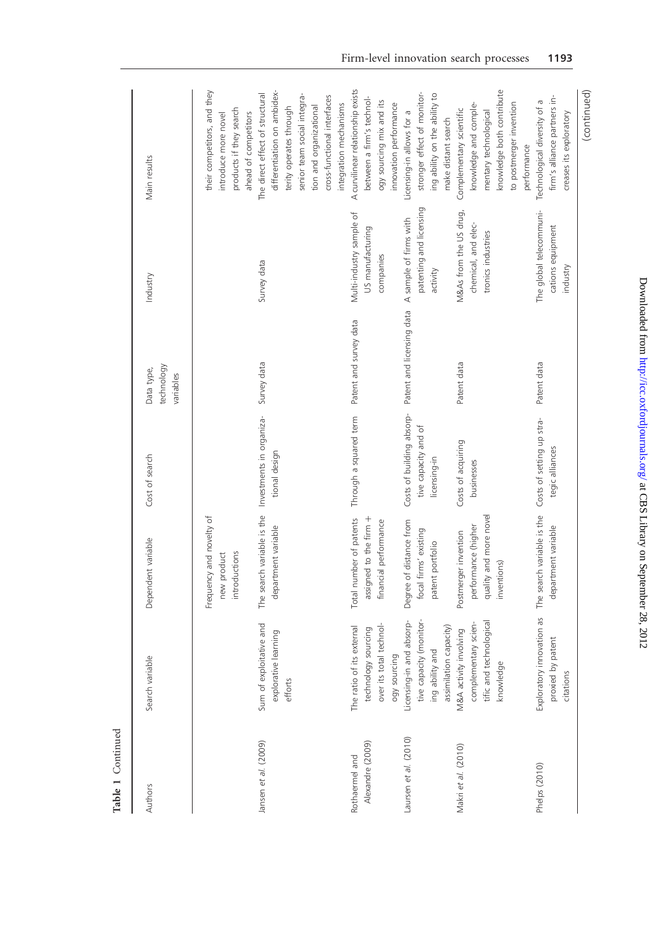| Authors                                      | Search variable                                                                                                                                                                            | Dependent variable                                                                                                                                           | Cost of search                                                                                        | technology<br>Data type,<br>variables    | Industry                                                                                                                             | Main results                                                                                                                                                                                                                                                                                                           |
|----------------------------------------------|--------------------------------------------------------------------------------------------------------------------------------------------------------------------------------------------|--------------------------------------------------------------------------------------------------------------------------------------------------------------|-------------------------------------------------------------------------------------------------------|------------------------------------------|--------------------------------------------------------------------------------------------------------------------------------------|------------------------------------------------------------------------------------------------------------------------------------------------------------------------------------------------------------------------------------------------------------------------------------------------------------------------|
| Jansen et al. (2009)                         | Sum of exploitative and<br>explorative learning<br>efforts                                                                                                                                 | The search variable is the<br>Frequency and novelty of<br>department variable<br>introductions<br>new product                                                | Investments in organiza-<br>tional design                                                             | Survey data                              | Survey data                                                                                                                          | their competitors, and they<br>differentiation on ambidex-<br>The direct effect of structural<br>senior team social integra-<br>cross-functional interfaces<br>integration mechanisms<br>tion and organizational<br>terity operates through<br>products if they search<br>ahead of competitors<br>introduce more novel |
| Alexandre (2009)<br>Rothaemel and            | over its total technol-<br>The ratio of its external<br>technology sourcing<br>ogy sourcing                                                                                                | Total number of patents<br>assigned to the firm +<br>financial performance                                                                                   | Through a squared term                                                                                | Patent and survey data                   | Multi-industry sample of<br>US manufacturing<br>companies                                                                            | A curvilinear relationship exists<br>between a firm's technol-<br>ogy sourcing mix and its<br>innovation performance                                                                                                                                                                                                   |
| Laursen et al. (2010)<br>Makri et al. (2010) | Licensing-in and absorp-<br>tive capacity (monitor-<br>tific and technological<br>complementary scien-<br>assimilation capacity)<br>M&A activity involving<br>ing ability and<br>knowledge | quality and more novel<br>Degree of distance from<br>performance (higher<br>focal firms' existing<br>Postmerger invention<br>patent portfolio<br>inventions) | Costs of building absorp-<br>tive capacity and of<br>Costs of acquiring<br>licensing-in<br>businesses | Patent and licensing data<br>Patent data | patenting and licensing<br>M&As from the US drug,<br>A sample of firms with<br>chemical, and elec-<br>tronics industries<br>activity | knowledge both contribute<br>stronger effect of monitor-<br>ing ability on the ability to<br>to postmerger invention<br>knowledge and comple-<br>Complementary scientific<br>mentary technological<br>Licensing-in allows for a<br>make distant search                                                                 |
| Phelps (2010)                                | by patent<br>citations<br>proxied                                                                                                                                                          | Exploratory innovation as The search variable is the<br>department variable                                                                                  | Costs of setting up stra-<br>tegic alliances                                                          | Patent data                              | The global telecommuni-<br>cations equipment<br>industry                                                                             | (continued)<br>firm's alliance partners in-<br>Technological diversity of a<br>creases its exploratory<br>performance                                                                                                                                                                                                  |

Table 1 Continued Table 1 Continued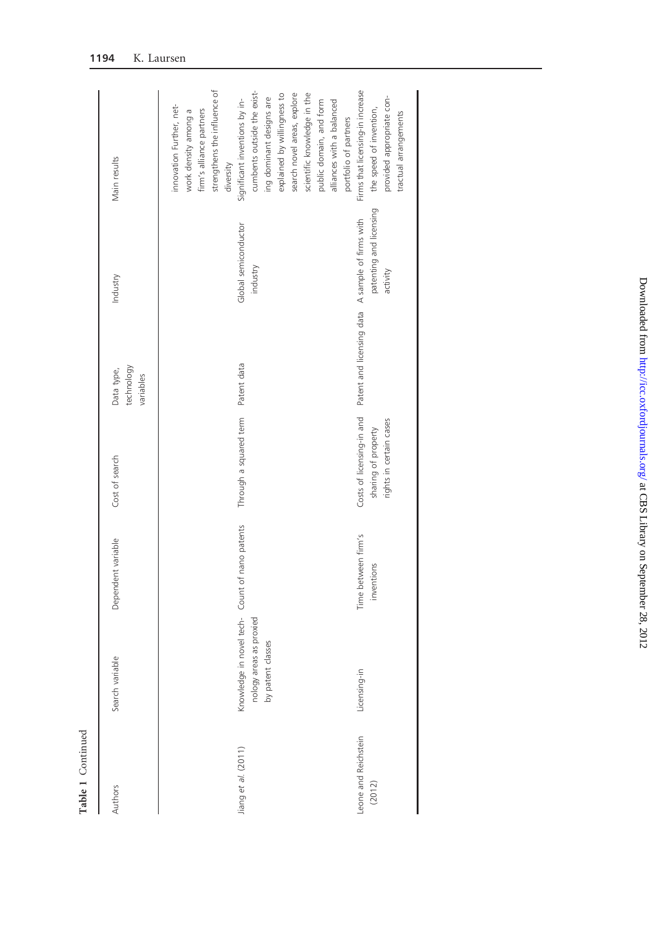| Authors                        | Search variable                                                                                | Dependent variable                | Cost of search                                                              | technology<br>Data type,<br>variables            | Industry                            | Main results                                                                                                                                                                                                                                                                                                                                                               |
|--------------------------------|------------------------------------------------------------------------------------------------|-----------------------------------|-----------------------------------------------------------------------------|--------------------------------------------------|-------------------------------------|----------------------------------------------------------------------------------------------------------------------------------------------------------------------------------------------------------------------------------------------------------------------------------------------------------------------------------------------------------------------------|
| liang et al. (2011)            | Knowledge in novel tech- Count of nano patents<br>nology areas as proxied<br>by patent classes |                                   | Through a squared term Patent data                                          |                                                  | Global semiconductor<br>industry    | strengthens the influence of<br>cumbents outside the exist-<br>search novel areas, explore<br>explained by willingness to<br>scientific knowledge in the<br>ing dominant designs are<br>Significant inventions by in-<br>public domain, and form<br>alliances with a balanced<br>innovation Further, net-<br>firm's alliance partners<br>work density among a<br>diversity |
| Leone and Reichstein<br>(2012) | Licensing-in                                                                                   | Time between firm's<br>inventions | Costs of licensing-in and<br>rights in certain cases<br>sharing of property | Patent and licensing data A sample of firms with | patenting and licensing<br>activity | Firms that licensing-in increase<br>provided appropriate con-<br>the speed of invention,<br>tractual arrangements<br>portfolio of partners                                                                                                                                                                                                                                 |

Table 1 Continued

Table 1 Continued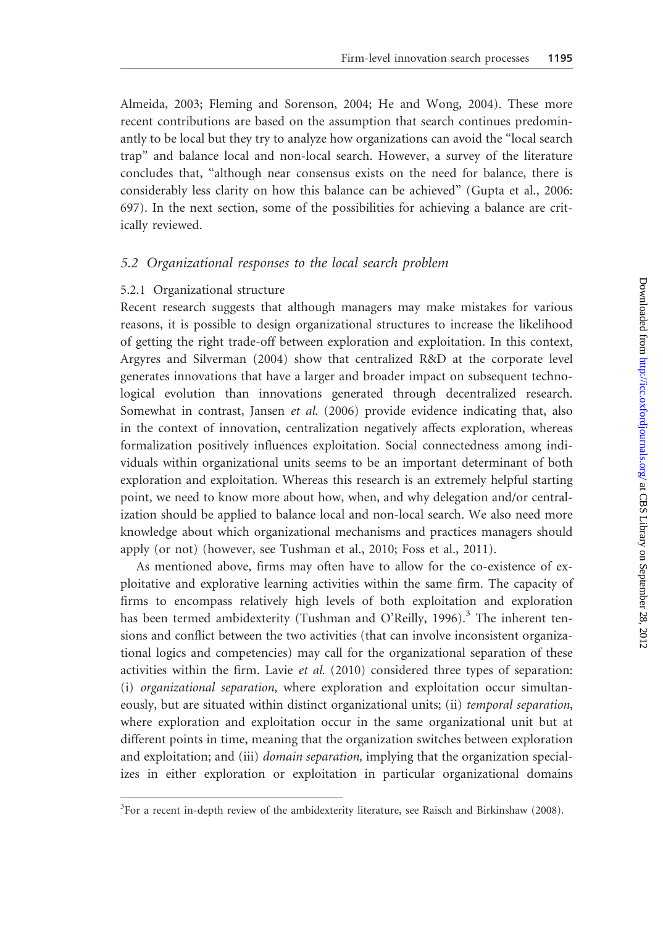[Almeida, 2003](#page-37-0); [Fleming and Sorenson, 2004;](#page-32-0) [He and Wong, 2004\)](#page-33-0). These more recent contributions are based on the assumption that search continues predominantly to be local but they try to analyze how organizations can avoid the "local search trap" and balance local and non-local search. However, a survey of the literature concludes that, "although near consensus exists on the need for balance, there is considerably less clarity on how this balance can be achieved" ([Gupta et al., 2006:](#page-32-0) 697). In the next section, some of the possibilities for achieving a balance are critically reviewed.

#### 5.2 Organizational responses to the local search problem

#### 5.2.1 Organizational structure

Recent research suggests that although managers may make mistakes for various reasons, it is possible to design organizational structures to increase the likelihood of getting the right trade-off between exploration and exploitation. In this context, [Argyres and Silverman \(2004\)](#page-30-0) show that centralized R&D at the corporate level generates innovations that have a larger and broader impact on subsequent technological evolution than innovations generated through decentralized research. Somewhat in contrast, Jansen et al[. \(2006\)](#page-33-0) provide evidence indicating that, also in the context of innovation, centralization negatively affects exploration, whereas formalization positively influences exploitation. Social connectedness among individuals within organizational units seems to be an important determinant of both exploration and exploitation. Whereas this research is an extremely helpful starting point, we need to know more about how, when, and why delegation and/or centralization should be applied to balance local and non-local search. We also need more knowledge about which organizational mechanisms and practices managers should apply (or not) (however, see [Tushman et al., 2010;](#page-38-0) [Foss et al., 2011\)](#page-32-0).

As mentioned above, firms may often have to allow for the co-existence of exploitative and explorative learning activities within the same firm. The capacity of firms to encompass relatively high levels of both exploitation and exploration has been termed ambidexterity ([Tushman and O'Reilly, 1996\)](#page-38-0).<sup>3</sup> The inherent tensions and conflict between the two activities (that can involve inconsistent organizational logics and competencies) may call for the organizational separation of these activities within the firm. Lavie et al[. \(2010\)](#page-34-0) considered three types of separation: (i) organizational separation, where exploration and exploitation occur simultaneously, but are situated within distinct organizational units; (ii) temporal separation, where exploration and exploitation occur in the same organizational unit but at different points in time, meaning that the organization switches between exploration and exploitation; and (iii) *domain separation*, implying that the organization specializes in either exploration or exploitation in particular organizational domains

<sup>&</sup>lt;sup>3</sup>For a recent in-depth review of the ambidexterity literature, see [Raisch and Birkinshaw \(2008\).](#page-37-0)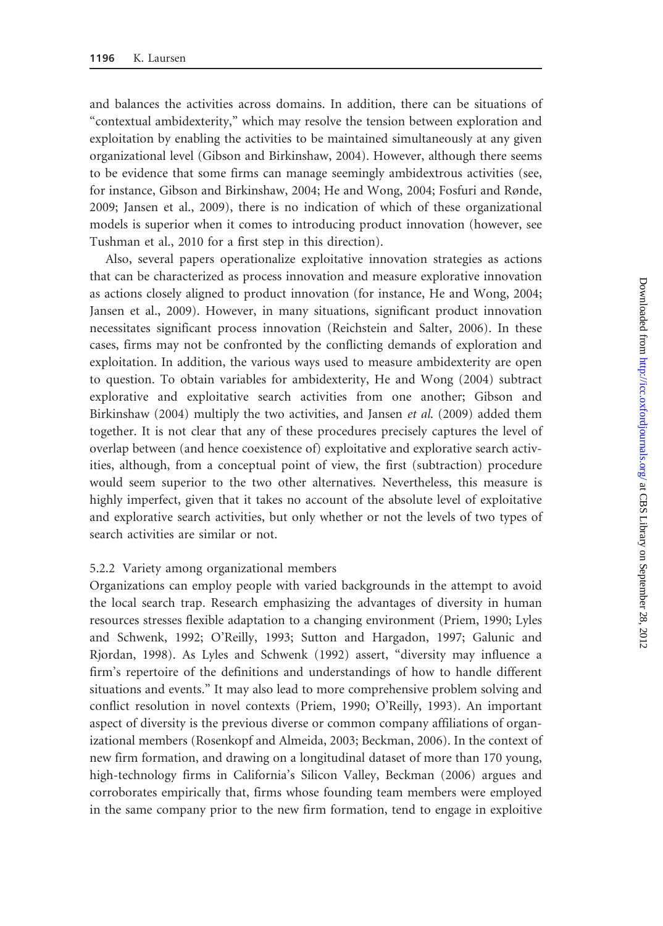and balances the activities across domains. In addition, there can be situations of "contextual ambidexterity," which may resolve the tension between exploration and exploitation by enabling the activities to be maintained simultaneously at any given organizational level ([Gibson and Birkinshaw, 2004\)](#page-32-0). However, although there seems to be evidence that some firms can manage seemingly ambidextrous activities (see, for instance, [Gibson and Birkinshaw, 2004;](#page-32-0) [He and Wong, 2004](#page-33-0); [Fosfuri and Rønde,](#page-32-0) [2009;](#page-32-0) [Jansen et al., 2009](#page-33-0)), there is no indication of which of these organizational models is superior when it comes to introducing product innovation (however, see [Tushman et al., 2010](#page-38-0) for a first step in this direction).

Also, several papers operationalize exploitative innovation strategies as actions that can be characterized as process innovation and measure explorative innovation as actions closely aligned to product innovation (for instance, [He and Wong, 2004;](#page-33-0) [Jansen et al., 2009](#page-33-0)). However, in many situations, significant product innovation necessitates significant process innovation [\(Reichstein and Salter, 2006](#page-37-0)). In these cases, firms may not be confronted by the conflicting demands of exploration and exploitation. In addition, the various ways used to measure ambidexterity are open to question. To obtain variables for ambidexterity, [He and Wong \(2004\)](#page-33-0) subtract explorative and exploitative search activities from one another; [Gibson and](#page-32-0) [Birkinshaw \(2004\)](#page-32-0) multiply the two activities, and Jansen *et al.* (2009) added them together. It is not clear that any of these procedures precisely captures the level of overlap between (and hence coexistence of) exploitative and explorative search activities, although, from a conceptual point of view, the first (subtraction) procedure would seem superior to the two other alternatives. Nevertheless, this measure is highly imperfect, given that it takes no account of the absolute level of exploitative and explorative search activities, but only whether or not the levels of two types of search activities are similar or not.

#### 5.2.2 Variety among organizational members

Organizations can employ people with varied backgrounds in the attempt to avoid the local search trap. Research emphasizing the advantages of diversity in human resources stresses flexible adaptation to a changing environment [\(Priem, 1990;](#page-37-0) [Lyles](#page-35-0) [and Schwenk, 1992;](#page-35-0) [O'Reilly, 1993;](#page-36-0) [Sutton and Hargadon, 1997;](#page-38-0) [Galunic and](#page-32-0) [Rjordan, 1998](#page-32-0)). As [Lyles and Schwenk \(1992\)](#page-35-0) assert, "diversity may influence a firm's repertoire of the definitions and understandings of how to handle different situations and events." It may also lead to more comprehensive problem solving and conflict resolution in novel contexts [\(Priem, 1990](#page-37-0); [O'Reilly, 1993\)](#page-36-0). An important aspect of diversity is the previous diverse or common company affiliations of organizational members [\(Rosenkopf and Almeida, 2003;](#page-37-0) [Beckman, 2006](#page-30-0)). In the context of new firm formation, and drawing on a longitudinal dataset of more than 170 young, high-technology firms in California's Silicon Valley, [Beckman \(2006\)](#page-30-0) argues and corroborates empirically that, firms whose founding team members were employed in the same company prior to the new firm formation, tend to engage in exploitive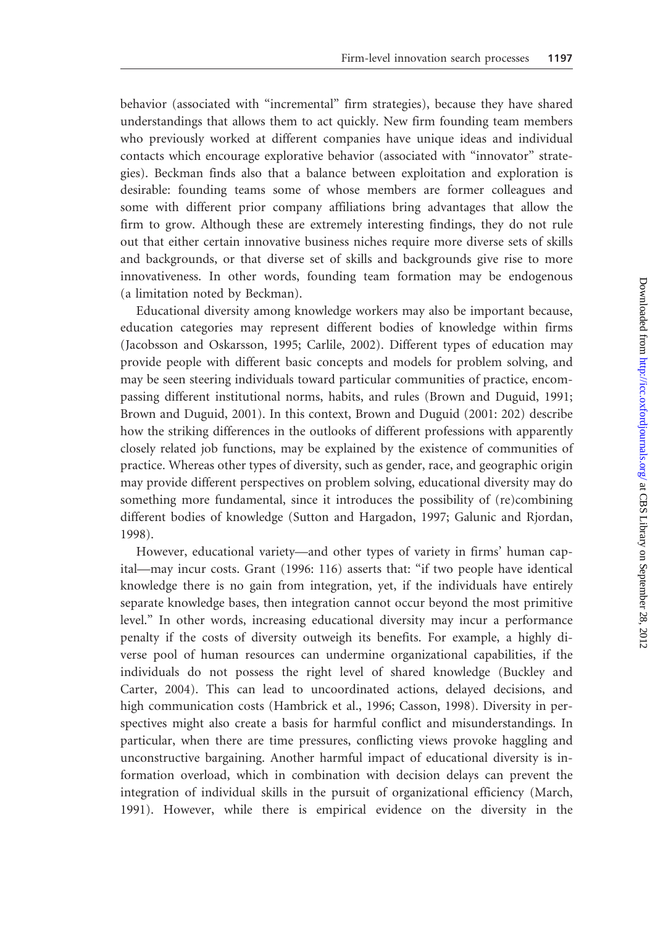behavior (associated with "incremental" firm strategies), because they have shared understandings that allows them to act quickly. New firm founding team members who previously worked at different companies have unique ideas and individual contacts which encourage explorative behavior (associated with "innovator" strategies). Beckman finds also that a balance between exploitation and exploration is desirable: founding teams some of whose members are former colleagues and some with different prior company affiliations bring advantages that allow the firm to grow. Although these are extremely interesting findings, they do not rule out that either certain innovative business niches require more diverse sets of skills and backgrounds, or that diverse set of skills and backgrounds give rise to more innovativeness. In other words, founding team formation may be endogenous (a limitation noted by Beckman).

Educational diversity among knowledge workers may also be important because, education categories may represent different bodies of knowledge within firms [\(Jacobsson and Oskarsson, 1995;](#page-33-0) [Carlile, 2002\)](#page-30-0). Different types of education may provide people with different basic concepts and models for problem solving, and may be seen steering individuals toward particular communities of practice, encompassing different institutional norms, habits, and rules [\(Brown and Duguid, 1991;](#page-30-0) [Brown and Duguid, 2001\)](#page-30-0). In this context, Brown and Duguid [\(2001](#page-30-0): 202) describe how the striking differences in the outlooks of different professions with apparently closely related job functions, may be explained by the existence of communities of practice. Whereas other types of diversity, such as gender, race, and geographic origin may provide different perspectives on problem solving, educational diversity may do something more fundamental, since it introduces the possibility of (re)combining different bodies of knowledge ([Sutton and Hargadon, 1997](#page-38-0); [Galunic and Rjordan,](#page-32-0) [1998\)](#page-32-0).

However, educational variety—and other types of variety in firms' human capital—may incur costs. Grant ([1996](#page-32-0): 116) asserts that: "if two people have identical knowledge there is no gain from integration, yet, if the individuals have entirely separate knowledge bases, then integration cannot occur beyond the most primitive level." In other words, increasing educational diversity may incur a performance penalty if the costs of diversity outweigh its benefits. For example, a highly diverse pool of human resources can undermine organizational capabilities, if the individuals do not possess the right level of shared knowledge ([Buckley and](#page-30-0) [Carter, 2004](#page-30-0)). This can lead to uncoordinated actions, delayed decisions, and high communication costs [\(Hambrick et al., 1996;](#page-33-0) [Casson, 1998](#page-31-0)). Diversity in perspectives might also create a basis for harmful conflict and misunderstandings. In particular, when there are time pressures, conflicting views provoke haggling and unconstructive bargaining. Another harmful impact of educational diversity is information overload, which in combination with decision delays can prevent the integration of individual skills in the pursuit of organizational efficiency ([March,](#page-35-0) [1991\)](#page-35-0). However, while there is empirical evidence on the diversity in the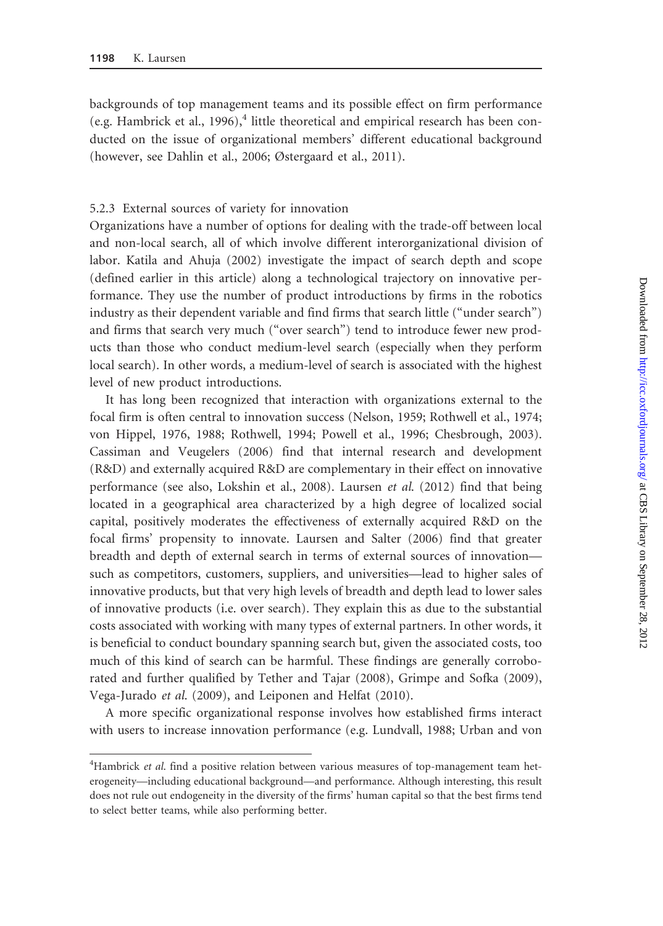backgrounds of top management teams and its possible effect on firm performance (e.g. [Hambrick et al., 1996](#page-33-0)),<sup>4</sup> little theoretical and empirical research has been conducted on the issue of organizational members' different educational background (however, see [Dahlin et al., 2006](#page-31-0); [Østergaard et al., 2011](#page-36-0)).

#### 5.2.3 External sources of variety for innovation

Organizations have a number of options for dealing with the trade-off between local and non-local search, all of which involve different interorganizational division of labor. [Katila and Ahuja \(2002\)](#page-33-0) investigate the impact of search depth and scope (defined earlier in this article) along a technological trajectory on innovative performance. They use the number of product introductions by firms in the robotics industry as their dependent variable and find firms that search little ("under search") and firms that search very much ("over search") tend to introduce fewer new products than those who conduct medium-level search (especially when they perform local search). In other words, a medium-level of search is associated with the highest level of new product introductions.

It has long been recognized that interaction with organizations external to the focal firm is often central to innovation success ([Nelson, 1959](#page-35-0); [Rothwell et al., 1974;](#page-37-0) [von Hippel, 1976,](#page-38-0) [1988;](#page-39-0) [Rothwell, 1994](#page-37-0); [Powell et al., 1996](#page-37-0); [Chesbrough, 2003](#page-31-0)). [Cassiman and Veugelers \(2006\)](#page-31-0) find that internal research and development (R&D) and externally acquired R&D are complementary in their effect on innovative performance (see also, [Lokshin et al., 2008\)](#page-35-0). [Laursen](#page-34-0) et al. ([2012\)](#page-34-0) find that being located in a geographical area characterized by a high degree of localized social capital, positively moderates the effectiveness of externally acquired R&D on the focal firms' propensity to innovate. [Laursen and Salter \(2006\)](#page-34-0) find that greater breadth and depth of external search in terms of external sources of innovation such as competitors, customers, suppliers, and universities—lead to higher sales of innovative products, but that very high levels of breadth and depth lead to lower sales of innovative products (i.e. over search). They explain this as due to the substantial costs associated with working with many types of external partners. In other words, it is beneficial to conduct boundary spanning search but, given the associated costs, too much of this kind of search can be harmful. These findings are generally corroborated and further qualified by [Tether and Tajar \(2008\)](#page-38-0), [Grimpe and Sofka \(2009\),](#page-32-0) [Vega-Jurado](#page-38-0) et al. (200[9\),](#page-38-0) and [Leiponen and Helfat \(2010\).](#page-34-0)

A more specific organizational response involves how established firms interact with users to increase innovation performance (e.g. [Lundvall, 1988](#page-35-0); [Urban and von](#page-38-0)

<sup>&</sup>lt;sup>4</sup>Hambrick et al. find a positive relation between various measures of top-management team heterogeneity—including educational background—and performance. Although interesting, this result does not rule out endogeneity in the diversity of the firms' human capital so that the best firms tend to select better teams, while also performing better.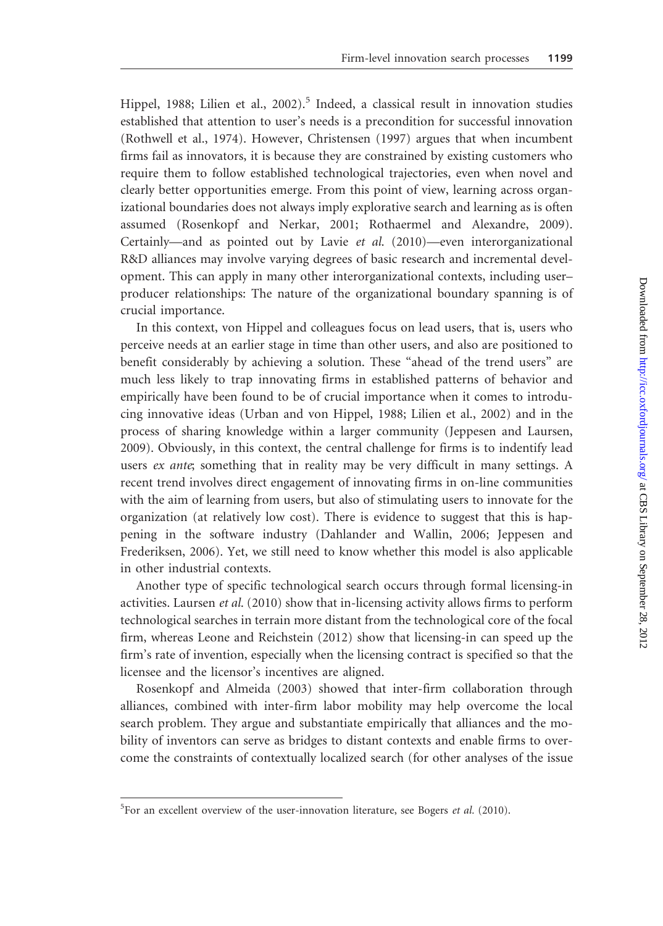[Hippel, 1988;](#page-38-0) [Lilien et al., 2002\)](#page-35-0).<sup>5</sup> Indeed, a classical result in innovation studies established that attention to user's needs is a precondition for successful innovation [\(Rothwell et al., 1974](#page-37-0)). However, [Christensen \(1997\)](#page-31-0) argues that when incumbent firms fail as innovators, it is because they are constrained by existing customers who require them to follow established technological trajectories, even when novel and clearly better opportunities emerge. From this point of view, learning across organizational boundaries does not always imply explorative search and learning as is often assumed ([Rosenkopf and Nerkar, 2001; Rothaermel and Alexandre, 2009](#page-37-0)). Certainly—and as pointed out by Lavie et al[. \(2010\)](#page-34-0)—even interorganizational R&D alliances may involve varying degrees of basic research and incremental development. This can apply in many other interorganizational contexts, including user– producer relationships: The nature of the organizational boundary spanning is of crucial importance.

In this context, von Hippel and colleagues focus on lead users, that is, users who perceive needs at an earlier stage in time than other users, and also are positioned to benefit considerably by achieving a solution. These "ahead of the trend users" are much less likely to trap innovating firms in established patterns of behavior and empirically have been found to be of crucial importance when it comes to introducing innovative ideas [\(Urban and von Hippel, 1988;](#page-38-0) [Lilien et al., 2002](#page-35-0)) and in the process of sharing knowledge within a larger community [\(Jeppesen and Laursen,](#page-33-0) [2009\)](#page-33-0). Obviously, in this context, the central challenge for firms is to indentify lead users ex ante; something that in reality may be very difficult in many settings. A recent trend involves direct engagement of innovating firms in on-line communities with the aim of learning from users, but also of stimulating users to innovate for the organization (at relatively low cost). There is evidence to suggest that this is happening in the software industry [\(Dahlander and Wallin, 2006;](#page-31-0) [Jeppesen and](#page-33-0) [Frederiksen, 2006\)](#page-33-0). Yet, we still need to know whether this model is also applicable in other industrial contexts.

Another type of specific technological search occurs through formal licensing-in activities. Laursen et al[. \(2010\)](#page-34-0) show that in-licensing activity allows firms to perform technological searches in terrain more distant from the technological core of the focal firm, whereas [Leone and Reichstein \(2012\)](#page-34-0) show that licensing-in can speed up the firm's rate of invention, especially when the licensing contract is specified so that the licensee and the licensor's incentives are aligned.

[Rosenkopf and Almeida \(2003\)](#page-37-0) showed that inter-firm collaboration through alliances, combined with inter-firm labor mobility may help overcome the local search problem. They argue and substantiate empirically that alliances and the mobility of inventors can serve as bridges to distant contexts and enable firms to overcome the constraints of contextually localized search (for other analyses of the issue

 $5$ For an excellent overview of the user-innovation literature, see Bogers et al. [\(2010\).](#page-30-0)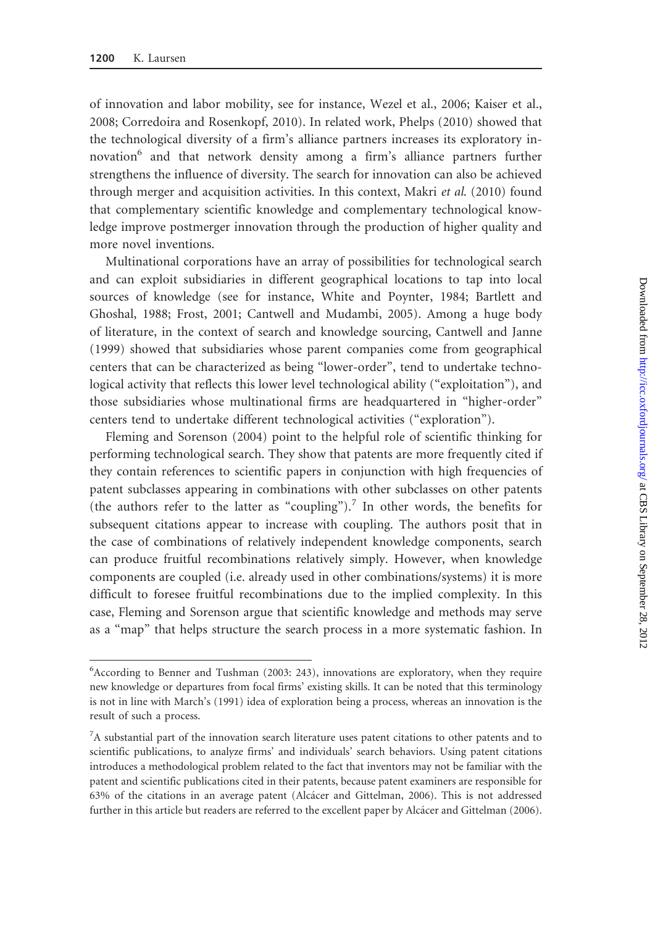of innovation and labor mobility, see for instance, [Wezel et al., 2006](#page-39-0); [Kaiser et al.,](#page-33-0) [2008;](#page-33-0) [Corredoira and Rosenkopf, 2010](#page-31-0)). In related work, [Phelps \(2010\)](#page-37-0) showed that the technological diversity of a firm's alliance partners increases its exploratory innovation<sup>6</sup> and that network density among a firm's alliance partners further strengthens the influence of diversity. The search for innovation can also be achieved through merger and acquisition activities. In this context, Makri et al[. \(2010\)](#page-35-0) found that complementary scientific knowledge and complementary technological knowledge improve postmerger innovation through the production of higher quality and more novel inventions.

Multinational corporations have an array of possibilities for technological search and can exploit subsidiaries in different geographical locations to tap into local sources of knowledge (see for instance, [White and Poynter, 1984](#page-39-0); [Bartlett and](#page-30-0) [Ghoshal, 1988](#page-30-0); [Frost, 2001;](#page-32-0) [Cantwell and Mudambi, 2005](#page-30-0)). Among a huge body of literature, in the context of search and knowledge sourcing, [Cantwell and Janne](#page-30-0) [\(1999\)](#page-30-0) showed that subsidiaries whose parent companies come from geographical centers that can be characterized as being "lower-order", tend to undertake technological activity that reflects this lower level technological ability ("exploitation"), and those subsidiaries whose multinational firms are headquartered in "higher-order" centers tend to undertake different technological activities ("exploration").

[Fleming and Sorenson \(2004\)](#page-32-0) point to the helpful role of scientific thinking for performing technological search. They show that patents are more frequently cited if they contain references to scientific papers in conjunction with high frequencies of patent subclasses appearing in combinations with other subclasses on other patents (the authors refer to the latter as "coupling").<sup>7</sup> In other words, the benefits for subsequent citations appear to increase with coupling. The authors posit that in the case of combinations of relatively independent knowledge components, search can produce fruitful recombinations relatively simply. However, when knowledge components are coupled (i.e. already used in other combinations/systems) it is more difficult to foresee fruitful recombinations due to the implied complexity. In this case, Fleming and Sorenson argue that scientific knowledge and methods may serve as a "map" that helps structure the search process in a more systematic fashion. In

<sup>6</sup> According to Benner and Tushman [\(2003:](#page-30-0) 243), innovations are exploratory, when they require new knowledge or departures from focal firms' existing skills. It can be noted that this terminology is not in line with March's (1991) idea of exploration being a process, whereas an innovation is the result of such a process.

<sup>&</sup>lt;sup>7</sup>A substantial part of the innovation search literature uses patent citations to other patents and to scientific publications, to analyze firms' and individuals' search behaviors. Using patent citations introduces a methodological problem related to the fact that inventors may not be familiar with the patent and scientific publications cited in their patents, because patent examiners are responsible for 63% of the citations in an average patent (Alcácer and Gittelman, 2006). This is not addressed further in this article but readers are referred to the excellent paper by Alcácer and Gittelman (2006).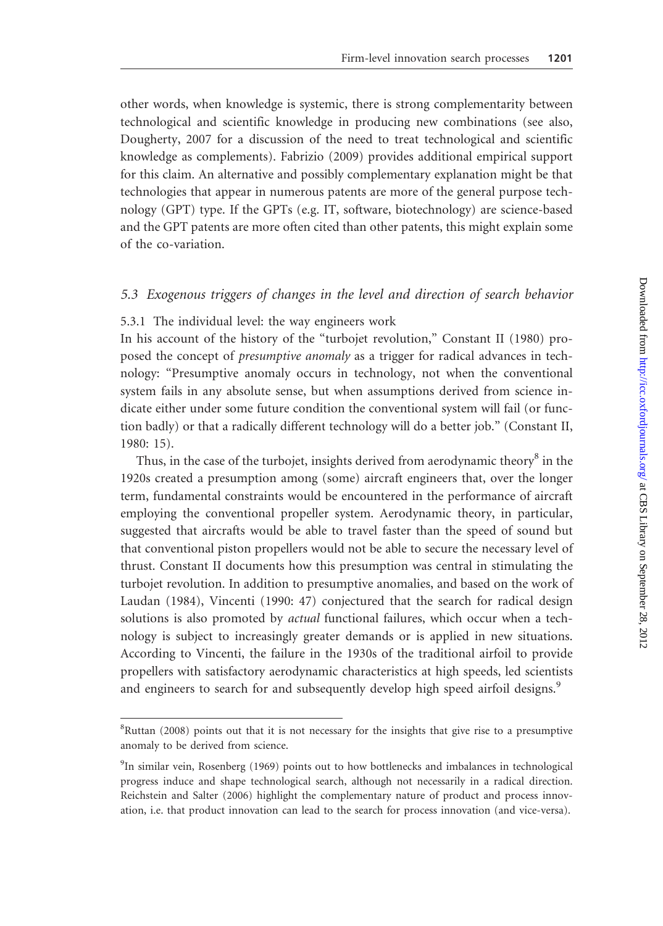other words, when knowledge is systemic, there is strong complementarity between technological and scientific knowledge in producing new combinations (see also, [Dougherty, 2007](#page-31-0) for a discussion of the need to treat technological and scientific knowledge as complements). [Fabrizio \(2009\)](#page-32-0) provides additional empirical support for this claim. An alternative and possibly complementary explanation might be that technologies that appear in numerous patents are more of the general purpose technology (GPT) type. If the GPTs (e.g. IT, software, biotechnology) are science-based and the GPT patents are more often cited than other patents, this might explain some of the co-variation.

## 5.3 Exogenous triggers of changes in the level and direction of search behavior

#### 5.3.1 The individual level: the way engineers work

In his account of the history of the "turbojet revolution," [Constant II \(1980\)](#page-31-0) proposed the concept of presumptive anomaly as a trigger for radical advances in technology: "Presumptive anomaly occurs in technology, not when the conventional system fails in any absolute sense, but when assumptions derived from science indicate either under some future condition the conventional system will fail (or function badly) or that a radically different technology will do a better job." [\(Constant II,](#page-31-0) [1980:](#page-31-0) 15).

Thus, in the case of the turbojet, insights derived from aerodynamic theory<sup>8</sup> in the 1920s created a presumption among (some) aircraft engineers that, over the longer term, fundamental constraints would be encountered in the performance of aircraft employing the conventional propeller system. Aerodynamic theory, in particular, suggested that aircrafts would be able to travel faster than the speed of sound but that conventional piston propellers would not be able to secure the necessary level of thrust. Constant II documents how this presumption was central in stimulating the turbojet revolution. In addition to presumptive anomalies, and based on the work of [Laudan \(1984\)](#page-34-0), Vincenti ([1990:](#page-38-0) 47) conjectured that the search for radical design solutions is also promoted by *actual* functional failures, which occur when a technology is subject to increasingly greater demands or is applied in new situations. According to Vincenti, the failure in the 1930s of the traditional airfoil to provide propellers with satisfactory aerodynamic characteristics at high speeds, led scientists and engineers to search for and subsequently develop high speed airfoil designs.<sup>9</sup>

<sup>&</sup>lt;sup>8</sup>[Ruttan \(2008\)](#page-37-0) points out that it is not necessary for the insights that give rise to a presumptive anomaly to be derived from science.

<sup>&</sup>lt;sup>9</sup>In similar vein, [Rosenberg \(1969\)](#page-37-0) points out to how bottlenecks and imbalances in technological progress induce and shape technological search, although not necessarily in a radical direction. [Reichstein and Salter \(2006\)](#page-37-0) highlight the complementary nature of product and process innovation, i.e. that product innovation can lead to the search for process innovation (and vice-versa).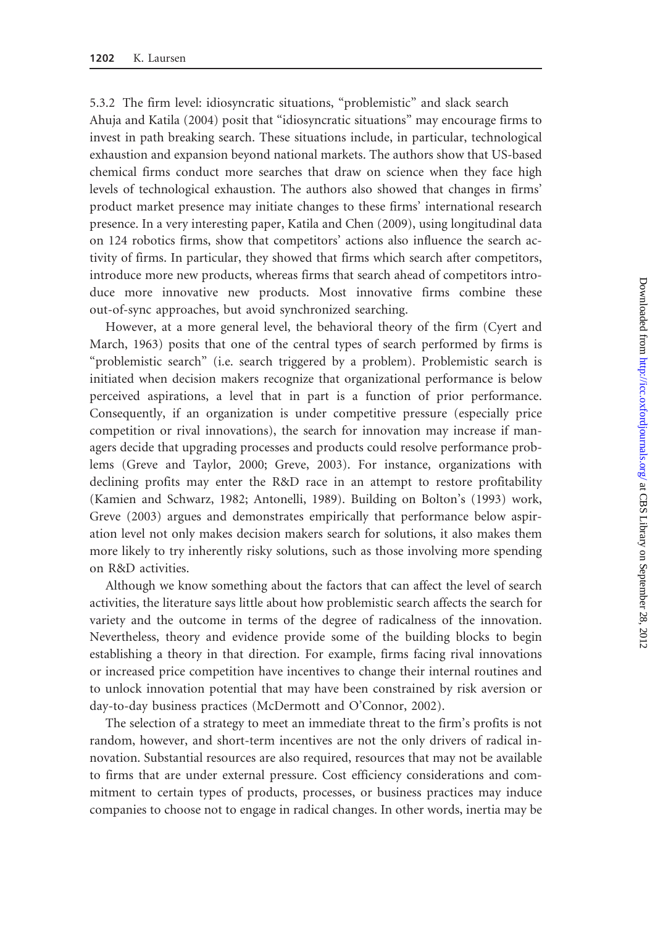5.3.2 The firm level: idiosyncratic situations, "problemistic" and slack search [Ahuja and Katila \(2004\)](#page-29-0) posit that "idiosyncratic situations" may encourage firms to invest in path breaking search. These situations include, in particular, technological exhaustion and expansion beyond national markets. The authors show that US-based chemical firms conduct more searches that draw on science when they face high levels of technological exhaustion. The authors also showed that changes in firms' product market presence may initiate changes to these firms' international research presence. In a very interesting paper, [Katila and Chen \(2009\),](#page-34-0) using longitudinal data on 124 robotics firms, show that competitors' actions also influence the search activity of firms. In particular, they showed that firms which search after competitors, introduce more new products, whereas firms that search ahead of competitors introduce more innovative new products. Most innovative firms combine these out-of-sync approaches, but avoid synchronized searching.

However, at a more general level, the behavioral theory of the firm [\(Cyert and](#page-31-0) [March, 1963](#page-31-0)) posits that one of the central types of search performed by firms is "problemistic search" (i.e. search triggered by a problem). Problemistic search is initiated when decision makers recognize that organizational performance is below perceived aspirations, a level that in part is a function of prior performance. Consequently, if an organization is under competitive pressure (especially price competition or rival innovations), the search for innovation may increase if managers decide that upgrading processes and products could resolve performance problems [\(Greve and Taylor, 2000; Greve, 2003\)](#page-32-0). For instance, organizations with declining profits may enter the R&D race in an attempt to restore profitability [\(Kamien and Schwarz, 1982](#page-33-0); [Antonelli, 1989\)](#page-30-0). Building on [Bolton's \(1993\)](#page-30-0) work, [Greve \(2003\)](#page-32-0) argues and demonstrates empirically that performance below aspiration level not only makes decision makers search for solutions, it also makes them more likely to try inherently risky solutions, such as those involving more spending on R&D activities.

Although we know something about the factors that can affect the level of search activities, the literature says little about how problemistic search affects the search for variety and the outcome in terms of the degree of radicalness of the innovation. Nevertheless, theory and evidence provide some of the building blocks to begin establishing a theory in that direction. For example, firms facing rival innovations or increased price competition have incentives to change their internal routines and to unlock innovation potential that may have been constrained by risk aversion or day-to-day business practices [\(McDermott and O'Connor, 2002\)](#page-35-0).

The selection of a strategy to meet an immediate threat to the firm's profits is not random, however, and short-term incentives are not the only drivers of radical innovation. Substantial resources are also required, resources that may not be available to firms that are under external pressure. Cost efficiency considerations and commitment to certain types of products, processes, or business practices may induce companies to choose not to engage in radical changes. In other words, inertia may be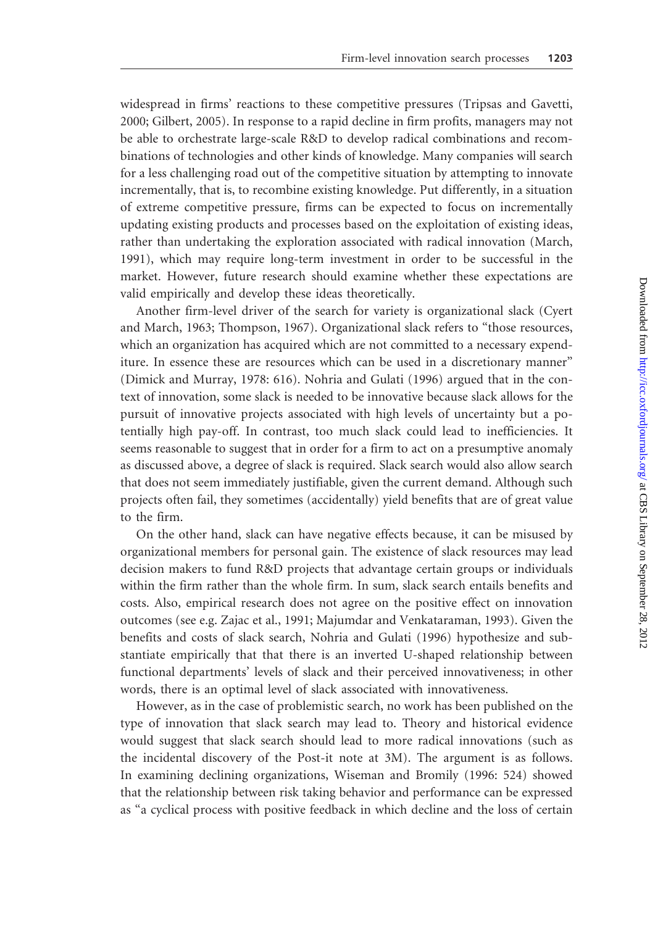widespread in firms' reactions to these competitive pressures ([Tripsas and Gavetti,](#page-38-0) [2000;](#page-38-0) [Gilbert, 2005\)](#page-32-0). In response to a rapid decline in firm profits, managers may not be able to orchestrate large-scale R&D to develop radical combinations and recombinations of technologies and other kinds of knowledge. Many companies will search for a less challenging road out of the competitive situation by attempting to innovate incrementally, that is, to recombine existing knowledge. Put differently, in a situation of extreme competitive pressure, firms can be expected to focus on incrementally updating existing products and processes based on the exploitation of existing ideas, rather than undertaking the exploration associated with radical innovation ([March,](#page-35-0) [1991\)](#page-35-0), which may require long-term investment in order to be successful in the market. However, future research should examine whether these expectations are valid empirically and develop these ideas theoretically.

Another firm-level driver of the search for variety is organizational slack [\(Cyert](#page-31-0) [and March, 1963](#page-31-0); [Thompson, 1967](#page-38-0)). Organizational slack refers to "those resources, which an organization has acquired which are not committed to a necessary expenditure. In essence these are resources which can be used in a discretionary manner" [\(Dimick and Murray, 1978](#page-31-0): 616). [Nohria and Gulati \(1996\)](#page-36-0) argued that in the context of innovation, some slack is needed to be innovative because slack allows for the pursuit of innovative projects associated with high levels of uncertainty but a potentially high pay-off. In contrast, too much slack could lead to inefficiencies. It seems reasonable to suggest that in order for a firm to act on a presumptive anomaly as discussed above, a degree of slack is required. Slack search would also allow search that does not seem immediately justifiable, given the current demand. Although such projects often fail, they sometimes (accidentally) yield benefits that are of great value to the firm.

On the other hand, slack can have negative effects because, it can be misused by organizational members for personal gain. The existence of slack resources may lead decision makers to fund R&D projects that advantage certain groups or individuals within the firm rather than the whole firm. In sum, slack search entails benefits and costs. Also, empirical research does not agree on the positive effect on innovation outcomes (see e.g. [Zajac et al., 1991](#page-39-0); [Majumdar and Venkataraman, 1993\)](#page-35-0). Given the benefits and costs of slack search, [Nohria and Gulati \(1996\)](#page-36-0) hypothesize and substantiate empirically that that there is an inverted U-shaped relationship between functional departments' levels of slack and their perceived innovativeness; in other words, there is an optimal level of slack associated with innovativeness.

However, as in the case of problemistic search, no work has been published on the type of innovation that slack search may lead to. Theory and historical evidence would suggest that slack search should lead to more radical innovations (such as the incidental discovery of the Post-it note at 3M). The argument is as follows. In examining declining organizations, Wiseman and Bromily [\(1996](#page-39-0): 524) showed that the relationship between risk taking behavior and performance can be expressed as "a cyclical process with positive feedback in which decline and the loss of certain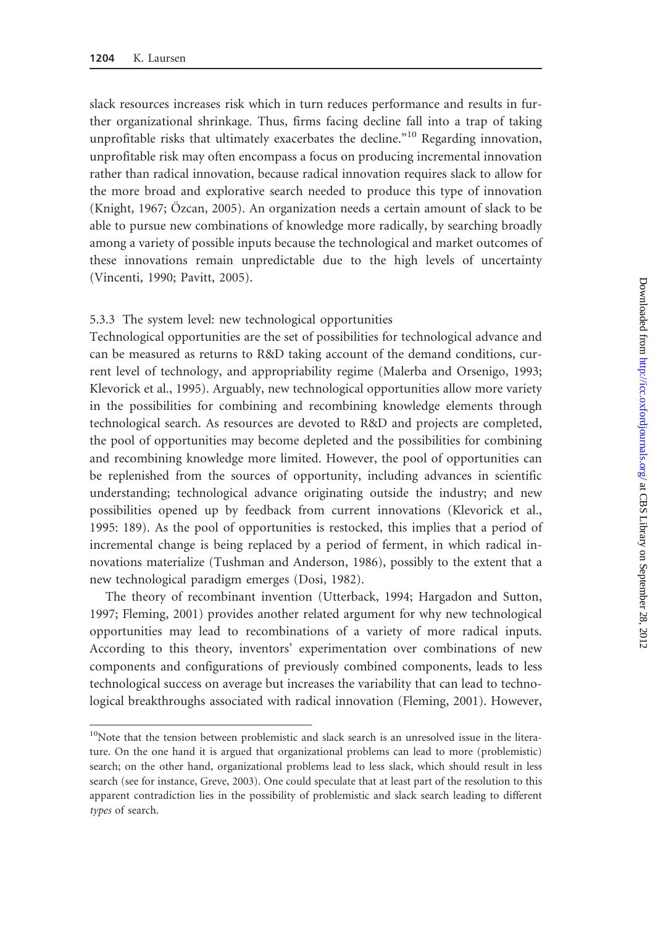slack resources increases risk which in turn reduces performance and results in further organizational shrinkage. Thus, firms facing decline fall into a trap of taking unprofitable risks that ultimately exacerbates the decline."<sup>10</sup> Regarding innovation, unprofitable risk may often encompass a focus on producing incremental innovation rather than radical innovation, because radical innovation requires slack to allow for the more broad and explorative search needed to produce this type of innovation [\(Knight, 1967](#page-34-0); Ö[zcan, 2005\)](#page-36-0). An organization needs a certain amount of slack to be able to pursue new combinations of knowledge more radically, by searching broadly among a variety of possible inputs because the technological and market outcomes of these innovations remain unpredictable due to the high levels of uncertainty [\(Vincenti, 1990](#page-38-0); [Pavitt, 2005](#page-36-0)).

#### 5.3.3 The system level: new technological opportunities

Technological opportunities are the set of possibilities for technological advance and can be measured as returns to R&D taking account of the demand conditions, current level of technology, and appropriability regime ([Malerba and Orsenigo, 1993;](#page-35-0) [Klevorick et al., 1995\)](#page-34-0). Arguably, new technological opportunities allow more variety in the possibilities for combining and recombining knowledge elements through technological search. As resources are devoted to R&D and projects are completed, the pool of opportunities may become depleted and the possibilities for combining and recombining knowledge more limited. However, the pool of opportunities can be replenished from the sources of opportunity, including advances in scientific understanding; technological advance originating outside the industry; and new possibilities opened up by feedback from current innovations ([Klevorick et al.,](#page-34-0) [1995:](#page-34-0) 189). As the pool of opportunities is restocked, this implies that a period of incremental change is being replaced by a period of ferment, in which radical innovations materialize [\(Tushman and Anderson, 1986\)](#page-38-0), possibly to the extent that a new technological paradigm emerges ([Dosi, 1982](#page-31-0)).

The theory of recombinant invention [\(Utterback, 1994;](#page-38-0) [Hargadon and Sutton,](#page-33-0) [1997;](#page-33-0) [Fleming, 2001](#page-32-0)) provides another related argument for why new technological opportunities may lead to recombinations of a variety of more radical inputs. According to this theory, inventors' experimentation over combinations of new components and configurations of previously combined components, leads to less technological success on average but increases the variability that can lead to technological breakthroughs associated with radical innovation [\(Fleming, 2001](#page-32-0)). However,

 $10$ Note that the tension between problemistic and slack search is an unresolved issue in the literature. On the one hand it is argued that organizational problems can lead to more (problemistic) search; on the other hand, organizational problems lead to less slack, which should result in less search (see for instance, [Greve, 2003](#page-32-0)). One could speculate that at least part of the resolution to this apparent contradiction lies in the possibility of problemistic and slack search leading to different types of search.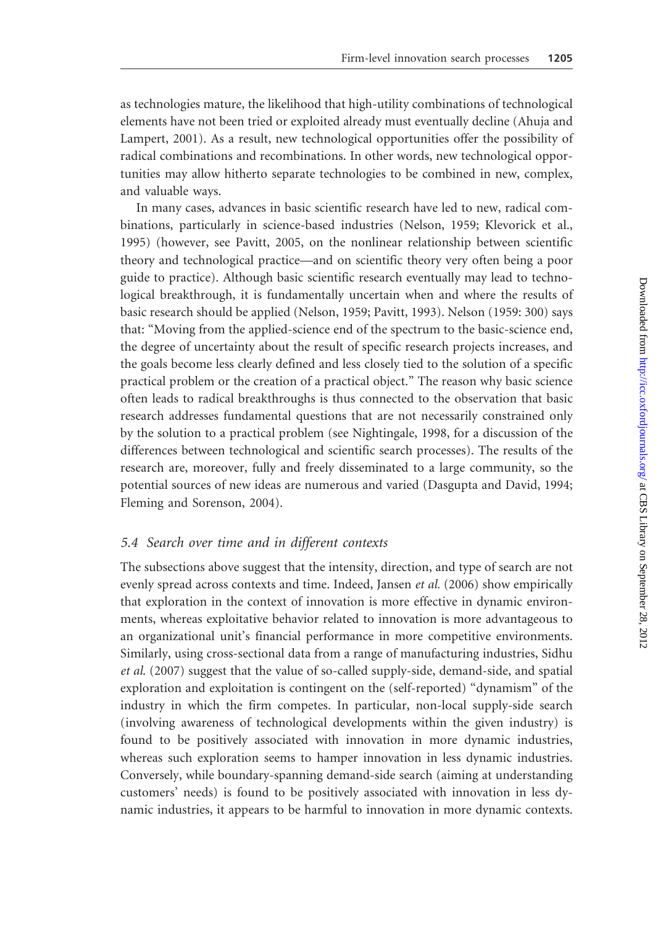as technologies mature, the likelihood that high-utility combinations of technological elements have not been tried or exploited already must eventually decline ([Ahuja and](#page-29-0) [Lampert, 2001](#page-29-0)). As a result, new technological opportunities offer the possibility of radical combinations and recombinations. In other words, new technological opportunities may allow hitherto separate technologies to be combined in new, complex, and valuable ways.

In many cases, advances in basic scientific research have led to new, radical combinations, particularly in science-based industries [\(Nelson, 1959](#page-35-0); [Klevorick et al.,](#page-34-0) [1995\)](#page-34-0) (however, see [Pavitt, 2005](#page-36-0), on the nonlinear relationship between scientific theory and technological practice—and on scientific theory very often being a poor guide to practice). Although basic scientific research eventually may lead to technological breakthrough, it is fundamentally uncertain when and where the results of basic research should be applied ([Nelson, 1959;](#page-35-0) [Pavitt, 1993\)](#page-36-0). Nelson [\(1959](#page-35-0): 300) says that: "Moving from the applied-science end of the spectrum to the basic-science end, the degree of uncertainty about the result of specific research projects increases, and the goals become less clearly defined and less closely tied to the solution of a specific practical problem or the creation of a practical object." The reason why basic science often leads to radical breakthroughs is thus connected to the observation that basic research addresses fundamental questions that are not necessarily constrained only by the solution to a practical problem (see [Nightingale, 1998](#page-36-0), for a discussion of the differences between technological and scientific search processes). The results of the research are, moreover, fully and freely disseminated to a large community, so the potential sources of new ideas are numerous and varied [\(Dasgupta and David, 1994;](#page-31-0) [Fleming and Sorenson, 2004\)](#page-32-0).

#### 5.4 Search over time and in different contexts

The subsections above suggest that the intensity, direction, and type of search are not evenly spread across contexts and time. Indeed, Jansen et al. [\(2006\)](#page-33-0) show empirically that exploration in the context of innovation is more effective in dynamic environments, whereas exploitative behavior related to innovation is more advantageous to an organizational unit's financial performance in more competitive environments. Similarly, using cross-sectional data from a range of manufacturing industries, [Sidhu](#page-37-0) et al[. \(2007\)](#page-37-0) suggest that the value of so-called supply-side, demand-side, and spatial exploration and exploitation is contingent on the (self-reported) "dynamism" of the industry in which the firm competes. In particular, non-local supply-side search (involving awareness of technological developments within the given industry) is found to be positively associated with innovation in more dynamic industries, whereas such exploration seems to hamper innovation in less dynamic industries. Conversely, while boundary-spanning demand-side search (aiming at understanding customers' needs) is found to be positively associated with innovation in less dynamic industries, it appears to be harmful to innovation in more dynamic contexts.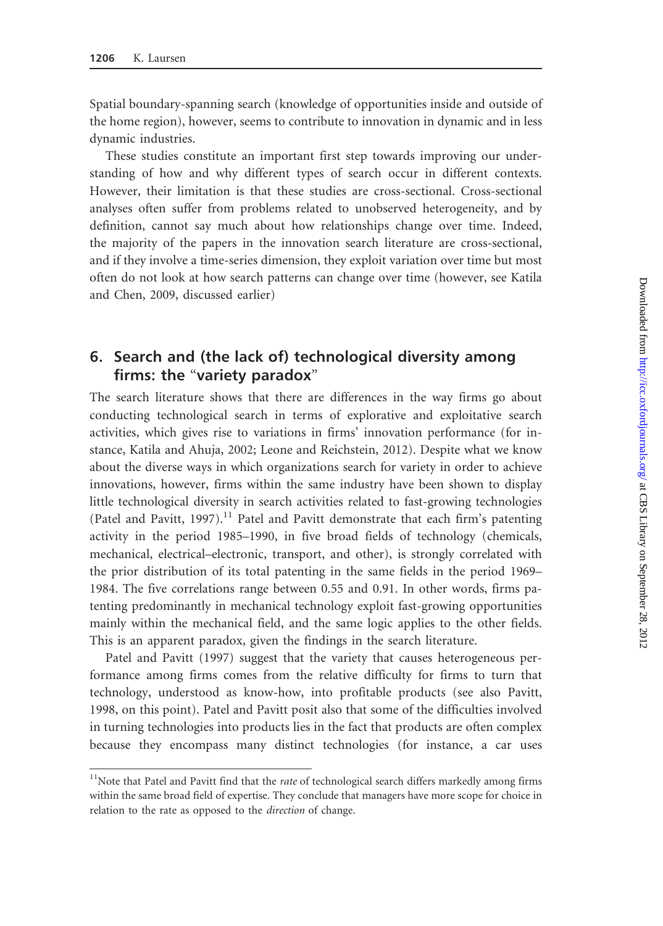Spatial boundary-spanning search (knowledge of opportunities inside and outside of the home region), however, seems to contribute to innovation in dynamic and in less dynamic industries.

These studies constitute an important first step towards improving our understanding of how and why different types of search occur in different contexts. However, their limitation is that these studies are cross-sectional. Cross-sectional analyses often suffer from problems related to unobserved heterogeneity, and by definition, cannot say much about how relationships change over time. Indeed, the majority of the papers in the innovation search literature are cross-sectional, and if they involve a time-series dimension, they exploit variation over time but most often do not look at how search patterns can change over time (however, see [Katila](#page-34-0) [and Chen, 2009](#page-34-0), discussed earlier)

# 6. Search and (the lack of) technological diversity among firms: the "variety paradox"

The search literature shows that there are differences in the way firms go about conducting technological search in terms of explorative and exploitative search activities, which gives rise to variations in firms' innovation performance (for instance, [Katila and Ahuja, 2002;](#page-33-0) [Leone and Reichstein, 2012](#page-34-0)). Despite what we know about the diverse ways in which organizations search for variety in order to achieve innovations, however, firms within the same industry have been shown to display little technological diversity in search activities related to fast-growing technologies [\(Patel and Pavitt, 1997\)](#page-36-0).<sup>11</sup> Patel and Pavitt demonstrate that each firm's patenting activity in the period 1985–1990, in five broad fields of technology (chemicals, mechanical, electrical–electronic, transport, and other), is strongly correlated with the prior distribution of its total patenting in the same fields in the period 1969– 1984. The five correlations range between 0.55 and 0.91. In other words, firms patenting predominantly in mechanical technology exploit fast-growing opportunities mainly within the mechanical field, and the same logic applies to the other fields. This is an apparent paradox, given the findings in the search literature.

Patel and Pavitt [\(1997\)](#page-36-0) suggest that the variety that causes heterogeneous performance among firms comes from the relative difficulty for firms to turn that technology, understood as know-how, into profitable products (see also [Pavitt,](#page-36-0) [1998,](#page-36-0) on this point). Patel and Pavitt posit also that some of the difficulties involved in turning technologies into products lies in the fact that products are often complex because they encompass many distinct technologies (for instance, a car uses

 $11$ Note that Patel and Pavitt find that the *rate* of technological search differs markedly among firms within the same broad field of expertise. They conclude that managers have more scope for choice in relation to the rate as opposed to the direction of change.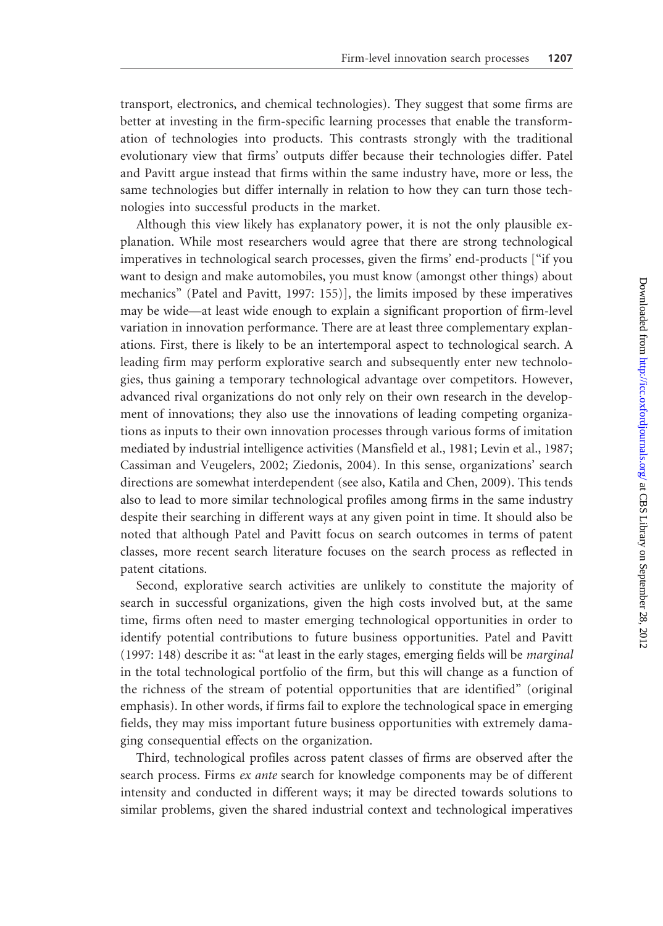transport, electronics, and chemical technologies). They suggest that some firms are better at investing in the firm-specific learning processes that enable the transformation of technologies into products. This contrasts strongly with the traditional evolutionary view that firms' outputs differ because their technologies differ. Patel and Pavitt argue instead that firms within the same industry have, more or less, the same technologies but differ internally in relation to how they can turn those technologies into successful products in the market.

Although this view likely has explanatory power, it is not the only plausible explanation. While most researchers would agree that there are strong technological imperatives in technological search processes, given the firms' end-products ["if you want to design and make automobiles, you must know (amongst other things) about mechanics" [\(Patel and Pavitt, 1997](#page-36-0): 155)], the limits imposed by these imperatives may be wide—at least wide enough to explain a significant proportion of firm-level variation in innovation performance. There are at least three complementary explanations. First, there is likely to be an intertemporal aspect to technological search. A leading firm may perform explorative search and subsequently enter new technologies, thus gaining a temporary technological advantage over competitors. However, advanced rival organizations do not only rely on their own research in the development of innovations; they also use the innovations of leading competing organizations as inputs to their own innovation processes through various forms of imitation mediated by industrial intelligence activities [\(Mansfield et al., 1981](#page-35-0); [Levin et al., 1987;](#page-34-0) [Cassiman and Veugelers, 2002;](#page-31-0) [Ziedonis, 2004](#page-39-0)). In this sense, organizations' search directions are somewhat interdependent (see also, [Katila and Chen, 2009](#page-34-0)). This tends also to lead to more similar technological profiles among firms in the same industry despite their searching in different ways at any given point in time. It should also be noted that although Patel and Pavitt focus on search outcomes in terms of patent classes, more recent search literature focuses on the search process as reflected in patent citations.

Second, explorative search activities are unlikely to constitute the majority of search in successful organizations, given the high costs involved but, at the same time, firms often need to master emerging technological opportunities in order to identify potential contributions to future business opportunities. Patel and Pavitt [\(1997](#page-36-0): 148) describe it as: "at least in the early stages, emerging fields will be marginal in the total technological portfolio of the firm, but this will change as a function of the richness of the stream of potential opportunities that are identified" (original emphasis). In other words, if firms fail to explore the technological space in emerging fields, they may miss important future business opportunities with extremely damaging consequential effects on the organization.

Third, technological profiles across patent classes of firms are observed after the search process. Firms ex ante search for knowledge components may be of different intensity and conducted in different ways; it may be directed towards solutions to similar problems, given the shared industrial context and technological imperatives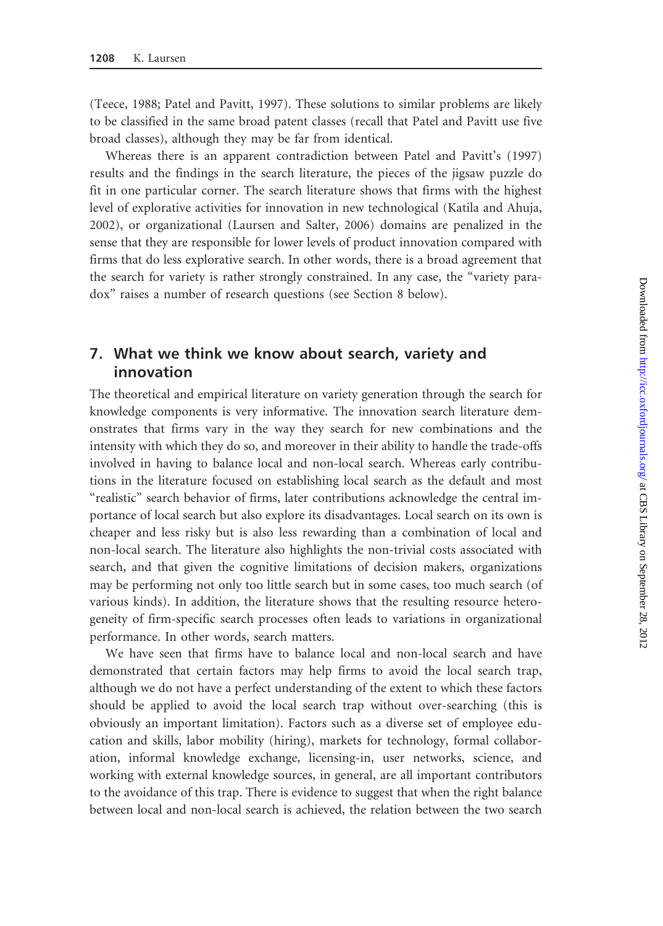[\(Teece, 1988;](#page-38-0) [Patel and Pavitt, 1997](#page-36-0)). These solutions to similar problems are likely to be classified in the same broad patent classes (recall that Patel and Pavitt use five broad classes), although they may be far from identical.

Whereas there is an apparent contradiction between [Patel and Pavitt's \(1997\)](#page-36-0) results and the findings in the search literature, the pieces of the jigsaw puzzle do fit in one particular corner. The search literature shows that firms with the highest level of explorative activities for innovation in new technological [\(Katila and Ahuja,](#page-33-0) [2002\)](#page-33-0), or organizational [\(Laursen and Salter, 2006](#page-34-0)) domains are penalized in the sense that they are responsible for lower levels of product innovation compared with firms that do less explorative search. In other words, there is a broad agreement that the search for variety is rather strongly constrained. In any case, the "variety paradox" raises a number of research questions (see Section 8 below).

## 7. What we think we know about search, variety and innovation

The theoretical and empirical literature on variety generation through the search for knowledge components is very informative. The innovation search literature demonstrates that firms vary in the way they search for new combinations and the intensity with which they do so, and moreover in their ability to handle the trade-offs involved in having to balance local and non-local search. Whereas early contributions in the literature focused on establishing local search as the default and most "realistic" search behavior of firms, later contributions acknowledge the central importance of local search but also explore its disadvantages. Local search on its own is cheaper and less risky but is also less rewarding than a combination of local and non-local search. The literature also highlights the non-trivial costs associated with search, and that given the cognitive limitations of decision makers, organizations may be performing not only too little search but in some cases, too much search (of various kinds). In addition, the literature shows that the resulting resource heterogeneity of firm-specific search processes often leads to variations in organizational performance. In other words, search matters.

We have seen that firms have to balance local and non-local search and have demonstrated that certain factors may help firms to avoid the local search trap, although we do not have a perfect understanding of the extent to which these factors should be applied to avoid the local search trap without over-searching (this is obviously an important limitation). Factors such as a diverse set of employee education and skills, labor mobility (hiring), markets for technology, formal collaboration, informal knowledge exchange, licensing-in, user networks, science, and working with external knowledge sources, in general, are all important contributors to the avoidance of this trap. There is evidence to suggest that when the right balance between local and non-local search is achieved, the relation between the two search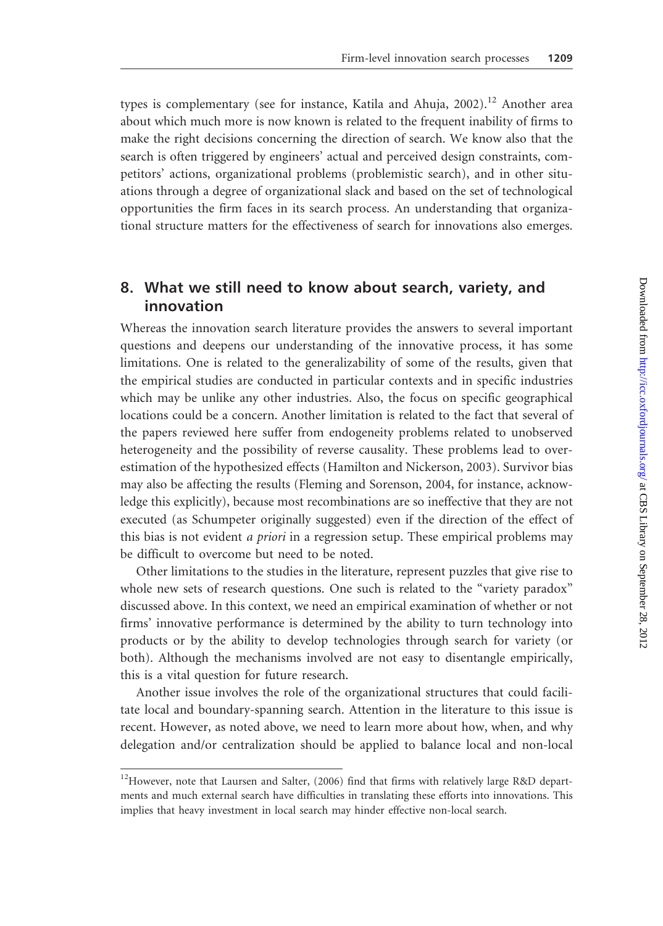types is complementary (see for instance, [Katila and Ahuja, 2002\)](#page-33-0).<sup>12</sup> Another area about which much more is now known is related to the frequent inability of firms to make the right decisions concerning the direction of search. We know also that the search is often triggered by engineers' actual and perceived design constraints, competitors' actions, organizational problems (problemistic search), and in other situations through a degree of organizational slack and based on the set of technological opportunities the firm faces in its search process. An understanding that organizational structure matters for the effectiveness of search for innovations also emerges.

# 8. What we still need to know about search, variety, and innovation

Whereas the innovation search literature provides the answers to several important questions and deepens our understanding of the innovative process, it has some limitations. One is related to the generalizability of some of the results, given that the empirical studies are conducted in particular contexts and in specific industries which may be unlike any other industries. Also, the focus on specific geographical locations could be a concern. Another limitation is related to the fact that several of the papers reviewed here suffer from endogeneity problems related to unobserved heterogeneity and the possibility of reverse causality. These problems lead to overestimation of the hypothesized effects ([Hamilton and Nickerson, 2003](#page-33-0)). Survivor bias may also be affecting the results [\(Fleming and Sorenson, 2004,](#page-32-0) for instance, acknowledge this explicitly), because most recombinations are so ineffective that they are not executed (as Schumpeter originally suggested) even if the direction of the effect of this bias is not evident *a priori* in a regression setup. These empirical problems may be difficult to overcome but need to be noted.

Other limitations to the studies in the literature, represent puzzles that give rise to whole new sets of research questions. One such is related to the "variety paradox" discussed above. In this context, we need an empirical examination of whether or not firms' innovative performance is determined by the ability to turn technology into products or by the ability to develop technologies through search for variety (or both). Although the mechanisms involved are not easy to disentangle empirically, this is a vital question for future research.

Another issue involves the role of the organizational structures that could facilitate local and boundary-spanning search. Attention in the literature to this issue is recent. However, as noted above, we need to learn more about how, when, and why delegation and/or centralization should be applied to balance local and non-local

 $12$ However, note that [Laursen and Salter, \(2006\)](#page-34-0) find that firms with relatively large R&D departments and much external search have difficulties in translating these efforts into innovations. This implies that heavy investment in local search may hinder effective non-local search.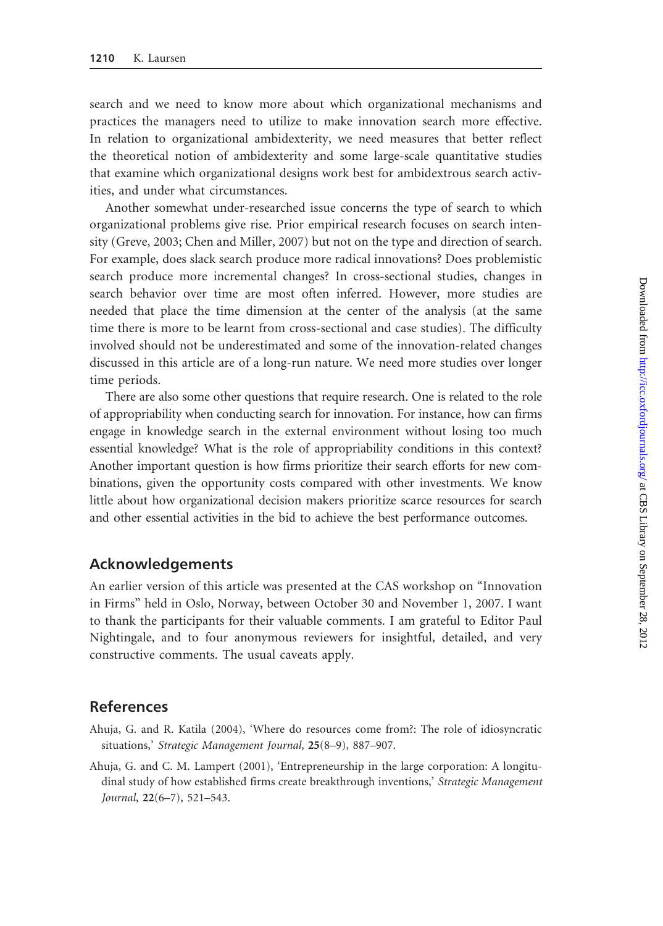<span id="page-29-0"></span>search and we need to know more about which organizational mechanisms and practices the managers need to utilize to make innovation search more effective. In relation to organizational ambidexterity, we need measures that better reflect the theoretical notion of ambidexterity and some large-scale quantitative studies that examine which organizational designs work best for ambidextrous search activities, and under what circumstances.

Another somewhat under-researched issue concerns the type of search to which organizational problems give rise. Prior empirical research focuses on search intensity [\(Greve, 2003;](#page-32-0) [Chen and Miller, 2007\)](#page-31-0) but not on the type and direction of search. For example, does slack search produce more radical innovations? Does problemistic search produce more incremental changes? In cross-sectional studies, changes in search behavior over time are most often inferred. However, more studies are needed that place the time dimension at the center of the analysis (at the same time there is more to be learnt from cross-sectional and case studies). The difficulty involved should not be underestimated and some of the innovation-related changes discussed in this article are of a long-run nature. We need more studies over longer time periods.

There are also some other questions that require research. One is related to the role of appropriability when conducting search for innovation. For instance, how can firms engage in knowledge search in the external environment without losing too much essential knowledge? What is the role of appropriability conditions in this context? Another important question is how firms prioritize their search efforts for new combinations, given the opportunity costs compared with other investments. We know little about how organizational decision makers prioritize scarce resources for search and other essential activities in the bid to achieve the best performance outcomes.

### Acknowledgements

An earlier version of this article was presented at the CAS workshop on "Innovation in Firms" held in Oslo, Norway, between October 30 and November 1, 2007. I want to thank the participants for their valuable comments. I am grateful to Editor Paul Nightingale, and to four anonymous reviewers for insightful, detailed, and very constructive comments. The usual caveats apply.

#### References

- Ahuja, G. and R. Katila (2004), 'Where do resources come from?: The role of idiosyncratic situations,' Strategic Management Journal, 25(8–9), 887–907.
- Ahuja, G. and C. M. Lampert (2001), 'Entrepreneurship in the large corporation: A longitudinal study of how established firms create breakthrough inventions,' Strategic Management Journal, 22(6–7), 521–543.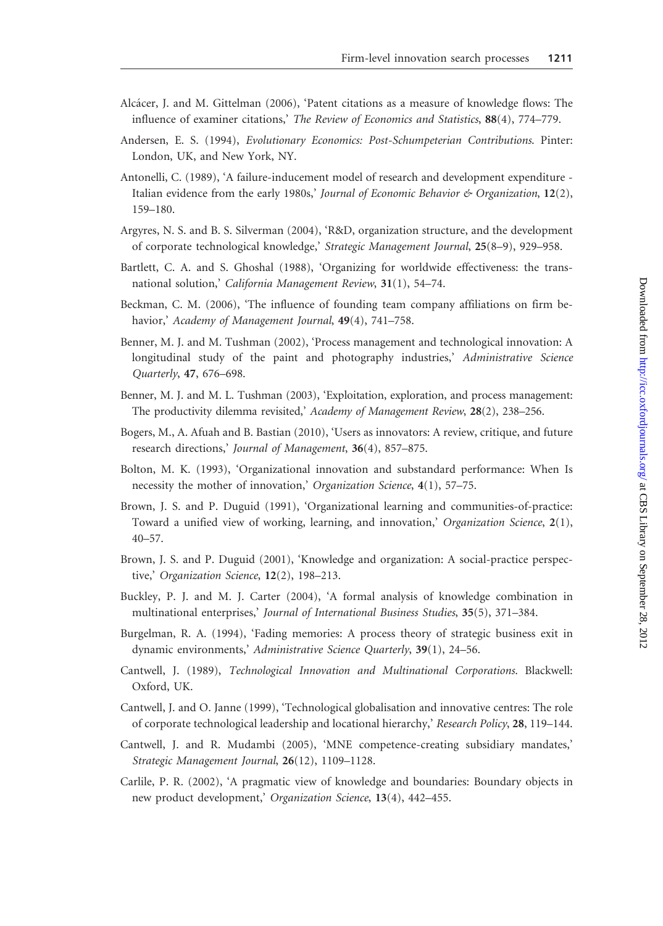- <span id="page-30-0"></span>Alcácer, J. and M. Gittelman (2006), 'Patent citations as a measure of knowledge flows: The influence of examiner citations,' The Review of Economics and Statistics, 88(4), 774–779.
- Andersen, E. S. (1994), Evolutionary Economics: Post-Schumpeterian Contributions. Pinter: London, UK, and New York, NY.
- Antonelli, C. (1989), 'A failure-inducement model of research and development expenditure Italian evidence from the early 1980s,' Journal of Economic Behavior  $\&$  Organization, 12(2), 159–180.
- Argyres, N. S. and B. S. Silverman (2004), 'R&D, organization structure, and the development of corporate technological knowledge,' Strategic Management Journal, 25(8–9), 929–958.
- Bartlett, C. A. and S. Ghoshal (1988), 'Organizing for worldwide effectiveness: the transnational solution,' California Management Review, 31(1), 54–74.
- Beckman, C. M. (2006), 'The influence of founding team company affiliations on firm behavior,' Academy of Management Journal, 49(4), 741–758.
- Benner, M. J. and M. Tushman (2002), 'Process management and technological innovation: A longitudinal study of the paint and photography industries,' Administrative Science Quarterly, 47, 676–698.
- Benner, M. J. and M. L. Tushman (2003), 'Exploitation, exploration, and process management: The productivity dilemma revisited,' Academy of Management Review, 28(2), 238-256.
- Bogers, M., A. Afuah and B. Bastian (2010), 'Users as innovators: A review, critique, and future research directions,' Journal of Management, 36(4), 857-875.
- Bolton, M. K. (1993), 'Organizational innovation and substandard performance: When Is necessity the mother of innovation,' Organization Science, 4(1), 57–75.
- Brown, J. S. and P. Duguid (1991), 'Organizational learning and communities-of-practice: Toward a unified view of working, learning, and innovation,' Organization Science, 2(1), 40–57.
- Brown, J. S. and P. Duguid (2001), 'Knowledge and organization: A social-practice perspective,' Organization Science, 12(2), 198-213.
- Buckley, P. J. and M. J. Carter (2004), 'A formal analysis of knowledge combination in multinational enterprises,' Journal of International Business Studies, 35(5), 371–384.
- Burgelman, R. A. (1994), 'Fading memories: A process theory of strategic business exit in dynamic environments,' Administrative Science Quarterly, 39(1), 24–56.
- Cantwell, J. (1989), Technological Innovation and Multinational Corporations. Blackwell: Oxford, UK.
- Cantwell, J. and O. Janne (1999), 'Technological globalisation and innovative centres: The role of corporate technological leadership and locational hierarchy,' Research Policy, 28, 119–144.
- Cantwell, J. and R. Mudambi (2005), 'MNE competence-creating subsidiary mandates,' Strategic Management Journal, 26(12), 1109–1128.
- Carlile, P. R. (2002), 'A pragmatic view of knowledge and boundaries: Boundary objects in new product development,' Organization Science, 13(4), 442–455.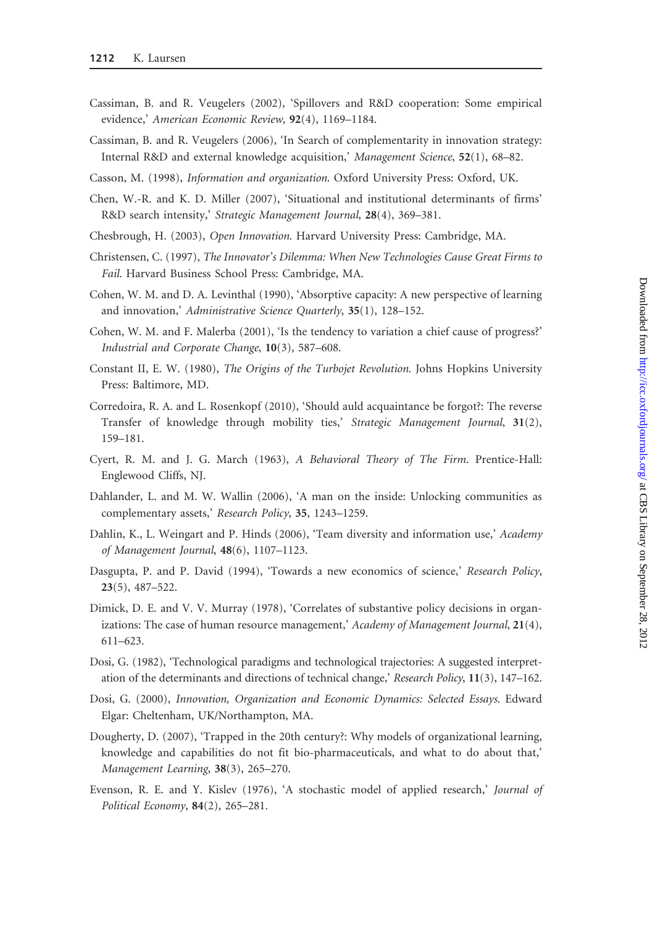- <span id="page-31-0"></span>Cassiman, B. and R. Veugelers (2002), 'Spillovers and R&D cooperation: Some empirical evidence,' American Economic Review, 92(4), 1169–1184.
- Cassiman, B. and R. Veugelers (2006), 'In Search of complementarity in innovation strategy: Internal R&D and external knowledge acquisition,' Management Science, 52(1), 68–82.
- Casson, M. (1998), Information and organization. Oxford University Press: Oxford, UK.
- Chen, W.-R. and K. D. Miller (2007), 'Situational and institutional determinants of firms' R&D search intensity,' Strategic Management Journal, 28(4), 369–381.
- Chesbrough, H. (2003), Open Innovation. Harvard University Press: Cambridge, MA.
- Christensen, C. (1997), The Innovator's Dilemma: When New Technologies Cause Great Firms to Fail. Harvard Business School Press: Cambridge, MA.
- Cohen, W. M. and D. A. Levinthal (1990), 'Absorptive capacity: A new perspective of learning and innovation,' Administrative Science Quarterly, 35(1), 128–152.
- Cohen, W. M. and F. Malerba (2001), 'Is the tendency to variation a chief cause of progress?' Industrial and Corporate Change, 10(3), 587–608.
- Constant II, E. W. (1980), The Origins of the Turbojet Revolution. Johns Hopkins University Press: Baltimore, MD.
- Corredoira, R. A. and L. Rosenkopf (2010), 'Should auld acquaintance be forgot?: The reverse Transfer of knowledge through mobility ties,' Strategic Management Journal, 31(2), 159–181.
- Cyert, R. M. and J. G. March (1963), A Behavioral Theory of The Firm. Prentice-Hall: Englewood Cliffs, NJ.
- Dahlander, L. and M. W. Wallin (2006), 'A man on the inside: Unlocking communities as complementary assets,' Research Policy, 35, 1243–1259.
- Dahlin, K., L. Weingart and P. Hinds (2006), 'Team diversity and information use,' Academy of Management Journal, 48(6), 1107–1123.
- Dasgupta, P. and P. David (1994), 'Towards a new economics of science,' Research Policy, 23(5), 487–522.
- Dimick, D. E. and V. V. Murray (1978), 'Correlates of substantive policy decisions in organizations: The case of human resource management,' Academy of Management Journal,  $21(4)$ , 611–623.
- Dosi, G. (1982), 'Technological paradigms and technological trajectories: A suggested interpretation of the determinants and directions of technical change,' Research Policy, 11(3), 147–162.
- Dosi, G. (2000), Innovation, Organization and Economic Dynamics: Selected Essays. Edward Elgar: Cheltenham, UK/Northampton, MA.
- Dougherty, D. (2007), 'Trapped in the 20th century?: Why models of organizational learning, knowledge and capabilities do not fit bio-pharmaceuticals, and what to do about that,' Management Learning, 38(3), 265–270.
- Evenson, R. E. and Y. Kislev (1976), 'A stochastic model of applied research,' Journal of Political Economy, 84(2), 265–281.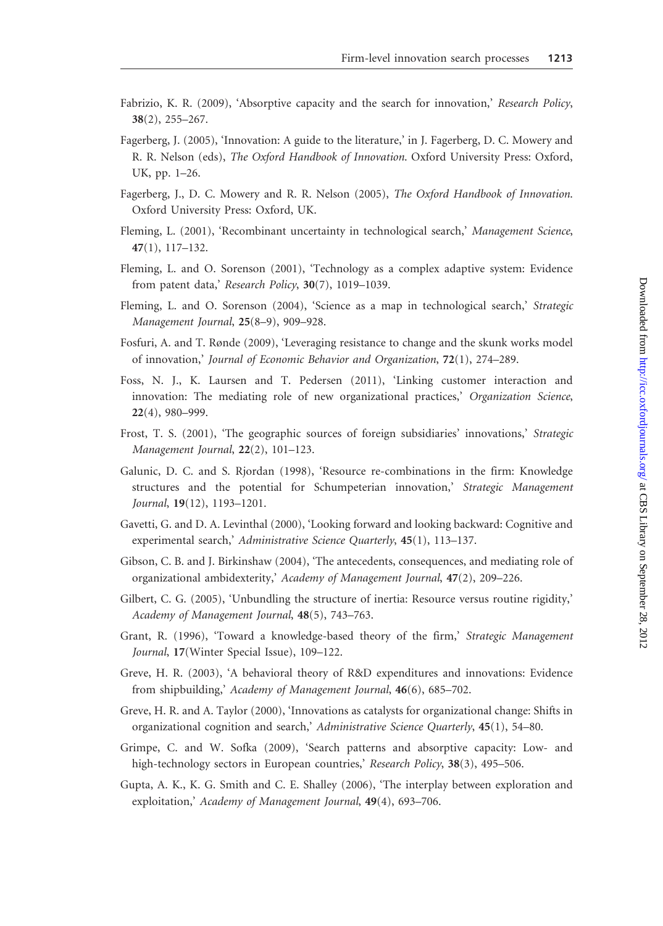- <span id="page-32-0"></span>Fabrizio, K. R. (2009), 'Absorptive capacity and the search for innovation,' Research Policy, 38(2), 255–267.
- Fagerberg, J. (2005), 'Innovation: A guide to the literature,' in J. Fagerberg, D. C. Mowery and R. R. Nelson (eds), The Oxford Handbook of Innovation. Oxford University Press: Oxford, UK, pp. 1–26.
- Fagerberg, J., D. C. Mowery and R. R. Nelson (2005), The Oxford Handbook of Innovation. Oxford University Press: Oxford, UK.
- Fleming, L. (2001), 'Recombinant uncertainty in technological search,' Management Science, 47(1), 117–132.
- Fleming, L. and O. Sorenson (2001), 'Technology as a complex adaptive system: Evidence from patent data,' Research Policy, 30(7), 1019-1039.
- Fleming, L. and O. Sorenson (2004), 'Science as a map in technological search,' Strategic Management Journal, 25(8–9), 909–928.
- Fosfuri, A. and T. Rønde (2009), 'Leveraging resistance to change and the skunk works model of innovation,' Journal of Economic Behavior and Organization, 72(1), 274–289.
- Foss, N. J., K. Laursen and T. Pedersen (2011), 'Linking customer interaction and innovation: The mediating role of new organizational practices,' Organization Science, 22(4), 980–999.
- Frost, T. S. (2001), 'The geographic sources of foreign subsidiaries' innovations,' Strategic Management Journal, 22(2), 101–123.
- Galunic, D. C. and S. Rjordan (1998), 'Resource re-combinations in the firm: Knowledge structures and the potential for Schumpeterian innovation,' Strategic Management Journal, 19(12), 1193–1201.
- Gavetti, G. and D. A. Levinthal (2000), 'Looking forward and looking backward: Cognitive and experimental search,' Administrative Science Quarterly, 45(1), 113-137.
- Gibson, C. B. and J. Birkinshaw (2004), 'The antecedents, consequences, and mediating role of organizational ambidexterity,' Academy of Management Journal, 47(2), 209–226.
- Gilbert, C. G. (2005), 'Unbundling the structure of inertia: Resource versus routine rigidity,' Academy of Management Journal, 48(5), 743–763.
- Grant, R. (1996), 'Toward a knowledge-based theory of the firm,' Strategic Management Journal, 17(Winter Special Issue), 109–122.
- Greve, H. R. (2003), 'A behavioral theory of R&D expenditures and innovations: Evidence from shipbuilding,' Academy of Management Journal, 46(6), 685–702.
- Greve, H. R. and A. Taylor (2000), 'Innovations as catalysts for organizational change: Shifts in organizational cognition and search,' Administrative Science Quarterly, 45(1), 54–80.
- Grimpe, C. and W. Sofka (2009), 'Search patterns and absorptive capacity: Low- and high-technology sectors in European countries,' Research Policy, 38(3), 495-506.
- Gupta, A. K., K. G. Smith and C. E. Shalley (2006), 'The interplay between exploration and exploitation,' Academy of Management Journal, 49(4), 693-706.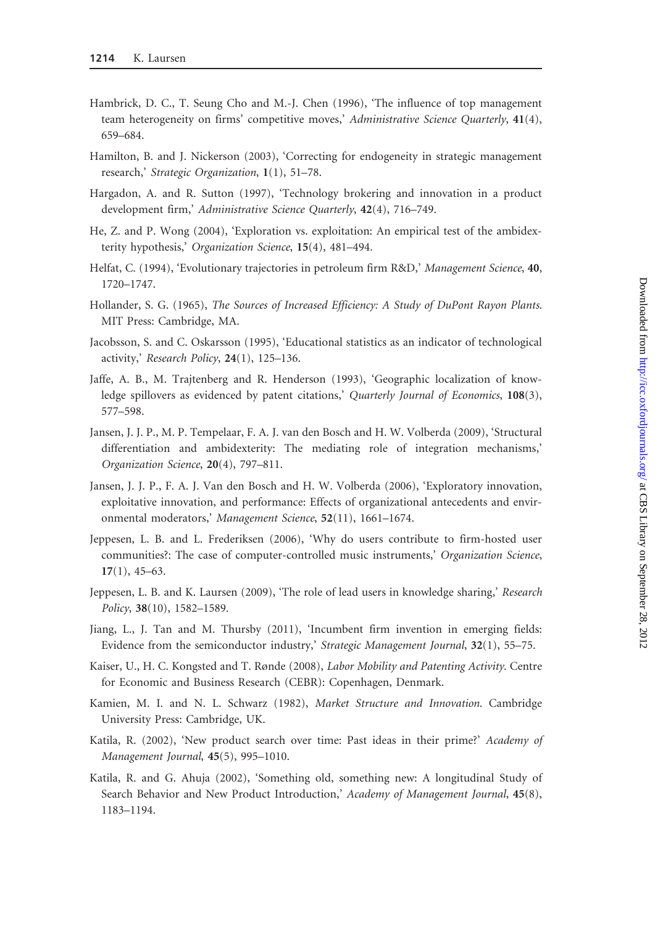- <span id="page-33-0"></span>Hambrick, D. C., T. Seung Cho and M.-J. Chen (1996), 'The influence of top management team heterogeneity on firms' competitive moves,' Administrative Science Quarterly, 41(4), 659–684.
- Hamilton, B. and J. Nickerson (2003), 'Correcting for endogeneity in strategic management research,' Strategic Organization, 1(1), 51–78.
- Hargadon, A. and R. Sutton (1997), 'Technology brokering and innovation in a product development firm,' Administrative Science Quarterly, 42(4), 716–749.
- He, Z. and P. Wong (2004), 'Exploration vs. exploitation: An empirical test of the ambidexterity hypothesis,' Organization Science, 15(4), 481–494.
- Helfat, C. (1994), 'Evolutionary trajectories in petroleum firm R&D,' Management Science, 40, 1720–1747.
- Hollander, S. G. (1965), The Sources of Increased Efficiency: A Study of DuPont Rayon Plants. MIT Press: Cambridge, MA.
- Jacobsson, S. and C. Oskarsson (1995), 'Educational statistics as an indicator of technological activity,' Research Policy, 24(1), 125-136.
- Jaffe, A. B., M. Trajtenberg and R. Henderson (1993), 'Geographic localization of knowledge spillovers as evidenced by patent citations,' Quarterly Journal of Economics, 108(3), 577–598.
- Jansen, J. J. P., M. P. Tempelaar, F. A. J. van den Bosch and H. W. Volberda (2009), 'Structural differentiation and ambidexterity: The mediating role of integration mechanisms,' Organization Science, 20(4), 797–811.
- Jansen, J. J. P., F. A. J. Van den Bosch and H. W. Volberda (2006), 'Exploratory innovation, exploitative innovation, and performance: Effects of organizational antecedents and environmental moderators,' Management Science, 52(11), 1661–1674.
- Jeppesen, L. B. and L. Frederiksen (2006), 'Why do users contribute to firm-hosted user communities?: The case of computer-controlled music instruments,' Organization Science, 17(1), 45–63.
- Jeppesen, L. B. and K. Laursen (2009), 'The role of lead users in knowledge sharing,' Research Policy, 38(10), 1582–1589.
- Jiang, L., J. Tan and M. Thursby (2011), 'Incumbent firm invention in emerging fields: Evidence from the semiconductor industry,' Strategic Management Journal, 32(1), 55–75.
- Kaiser, U., H. C. Kongsted and T. Rønde (2008), Labor Mobility and Patenting Activity. Centre for Economic and Business Research (CEBR): Copenhagen, Denmark.
- Kamien, M. I. and N. L. Schwarz (1982), Market Structure and Innovation. Cambridge University Press: Cambridge, UK.
- Katila, R. (2002), 'New product search over time: Past ideas in their prime?' Academy of Management Journal, 45(5), 995–1010.
- Katila, R. and G. Ahuja (2002), 'Something old, something new: A longitudinal Study of Search Behavior and New Product Introduction,' Academy of Management Journal, 45(8), 1183–1194.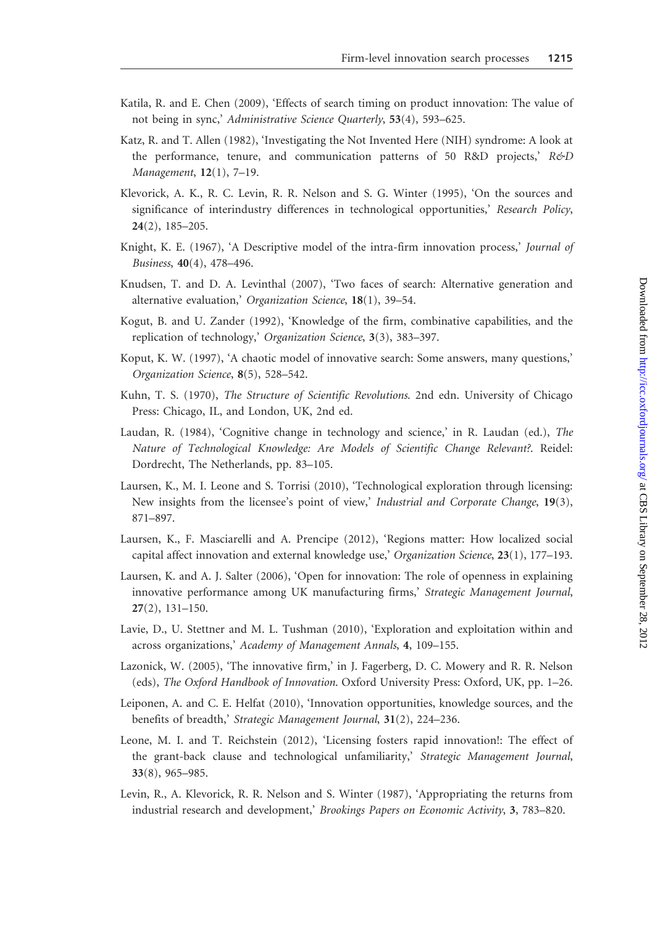- <span id="page-34-0"></span>Katila, R. and E. Chen (2009), 'Effects of search timing on product innovation: The value of not being in sync,' Administrative Science Quarterly, 53(4), 593–625.
- Katz, R. and T. Allen (1982), 'Investigating the Not Invented Here (NIH) syndrome: A look at the performance, tenure, and communication patterns of 50 R&D projects,'  $R\&D$ Management, 12(1), 7–19.
- Klevorick, A. K., R. C. Levin, R. R. Nelson and S. G. Winter (1995), 'On the sources and significance of interindustry differences in technological opportunities,' Research Policy, 24(2), 185–205.
- Knight, K. E. (1967), 'A Descriptive model of the intra-firm innovation process,' Journal of Business, 40(4), 478–496.
- Knudsen, T. and D. A. Levinthal (2007), 'Two faces of search: Alternative generation and alternative evaluation,' Organization Science, 18(1), 39–54.
- Kogut, B. and U. Zander (1992), 'Knowledge of the firm, combinative capabilities, and the replication of technology,' Organization Science, 3(3), 383–397.
- Koput, K. W. (1997), 'A chaotic model of innovative search: Some answers, many questions,' Organization Science, 8(5), 528–542.
- Kuhn, T. S. (1970), The Structure of Scientific Revolutions. 2nd edn. University of Chicago Press: Chicago, IL, and London, UK, 2nd ed.
- Laudan, R. (1984), 'Cognitive change in technology and science,' in R. Laudan (ed.), The Nature of Technological Knowledge: Are Models of Scientific Change Relevant?. Reidel: Dordrecht, The Netherlands, pp. 83–105.
- Laursen, K., M. I. Leone and S. Torrisi (2010), 'Technological exploration through licensing: New insights from the licensee's point of view,' Industrial and Corporate Change, 19(3), 871–897.
- Laursen, K., F. Masciarelli and A. Prencipe (2012), 'Regions matter: How localized social capital affect innovation and external knowledge use,' Organization Science,  $23(1)$ , 177–193.
- Laursen, K. and A. J. Salter (2006), 'Open for innovation: The role of openness in explaining innovative performance among UK manufacturing firms,' Strategic Management Journal, 27(2), 131–150.
- Lavie, D., U. Stettner and M. L. Tushman (2010), 'Exploration and exploitation within and across organizations,' Academy of Management Annals, 4, 109–155.
- Lazonick, W. (2005), 'The innovative firm,' in J. Fagerberg, D. C. Mowery and R. R. Nelson (eds), The Oxford Handbook of Innovation. Oxford University Press: Oxford, UK, pp. 1–26.
- Leiponen, A. and C. E. Helfat (2010), 'Innovation opportunities, knowledge sources, and the benefits of breadth,' Strategic Management Journal, 31(2), 224-236.
- Leone, M. I. and T. Reichstein (2012), 'Licensing fosters rapid innovation!: The effect of the grant-back clause and technological unfamiliarity,' Strategic Management Journal, 33(8), 965–985.
- Levin, R., A. Klevorick, R. R. Nelson and S. Winter (1987), 'Appropriating the returns from industrial research and development,' Brookings Papers on Economic Activity, 3, 783–820.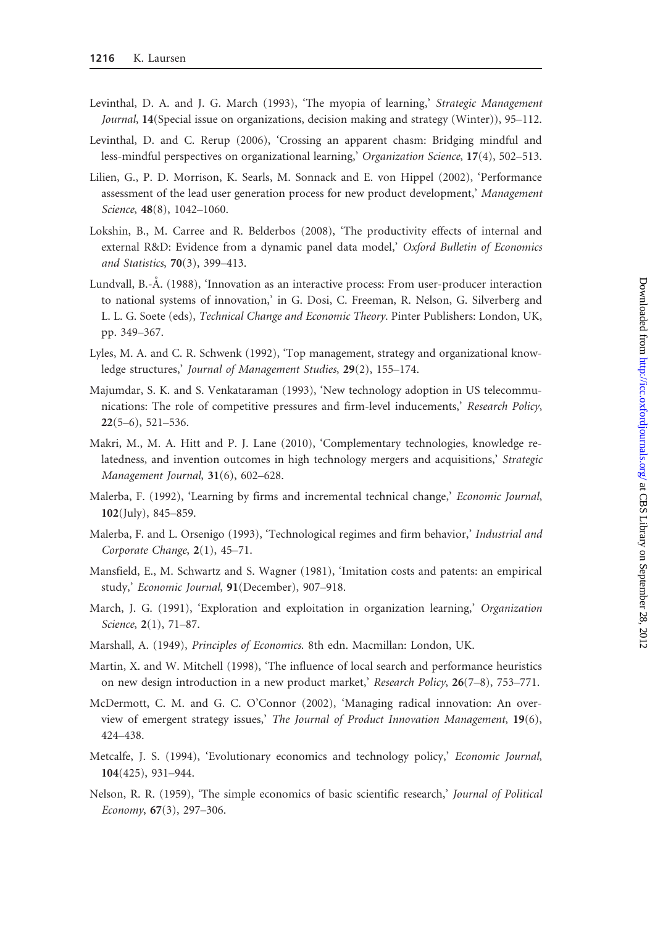- <span id="page-35-0"></span>Levinthal, D. A. and J. G. March (1993), 'The myopia of learning,' Strategic Management Journal, 14(Special issue on organizations, decision making and strategy (Winter)), 95–112.
- Levinthal, D. and C. Rerup (2006), 'Crossing an apparent chasm: Bridging mindful and less-mindful perspectives on organizational learning,' Organization Science, 17(4), 502–513.
- Lilien, G., P. D. Morrison, K. Searls, M. Sonnack and E. von Hippel (2002), 'Performance assessment of the lead user generation process for new product development,' Management Science, 48(8), 1042–1060.
- Lokshin, B., M. Carree and R. Belderbos (2008), 'The productivity effects of internal and external R&D: Evidence from a dynamic panel data model,' Oxford Bulletin of Economics and Statistics, 70(3), 399–413.
- Lundvall, B.-Å. (1988), 'Innovation as an interactive process: From user-producer interaction to national systems of innovation,' in G. Dosi, C. Freeman, R. Nelson, G. Silverberg and L. L. G. Soete (eds), Technical Change and Economic Theory. Pinter Publishers: London, UK, pp. 349–367.
- Lyles, M. A. and C. R. Schwenk (1992), 'Top management, strategy and organizational knowledge structures,' Journal of Management Studies, 29(2), 155–174.
- Majumdar, S. K. and S. Venkataraman (1993), 'New technology adoption in US telecommunications: The role of competitive pressures and firm-level inducements,' Research Policy, 22(5–6), 521–536.
- Makri, M., M. A. Hitt and P. J. Lane (2010), 'Complementary technologies, knowledge relatedness, and invention outcomes in high technology mergers and acquisitions,' Strategic Management Journal, 31(6), 602–628.
- Malerba, F. (1992), 'Learning by firms and incremental technical change,' Economic Journal, 102(July), 845–859.
- Malerba, F. and L. Orsenigo (1993), 'Technological regimes and firm behavior,' Industrial and Corporate Change, 2(1), 45–71.
- Mansfield, E., M. Schwartz and S. Wagner (1981), 'Imitation costs and patents: an empirical study,' Economic Journal, 91(December), 907–918.
- March, J. G. (1991), 'Exploration and exploitation in organization learning,' Organization Science, 2(1), 71–87.
- Marshall, A. (1949), Principles of Economics. 8th edn. Macmillan: London, UK.
- Martin, X. and W. Mitchell (1998), 'The influence of local search and performance heuristics on new design introduction in a new product market,' Research Policy, 26(7–8), 753–771.
- McDermott, C. M. and G. C. O'Connor (2002), 'Managing radical innovation: An overview of emergent strategy issues,' The Journal of Product Innovation Management, 19(6), 424–438.
- Metcalfe, J. S. (1994), 'Evolutionary economics and technology policy,' Economic Journal, 104(425), 931–944.
- Nelson, R. R. (1959), 'The simple economics of basic scientific research,' Journal of Political Economy, 67(3), 297–306.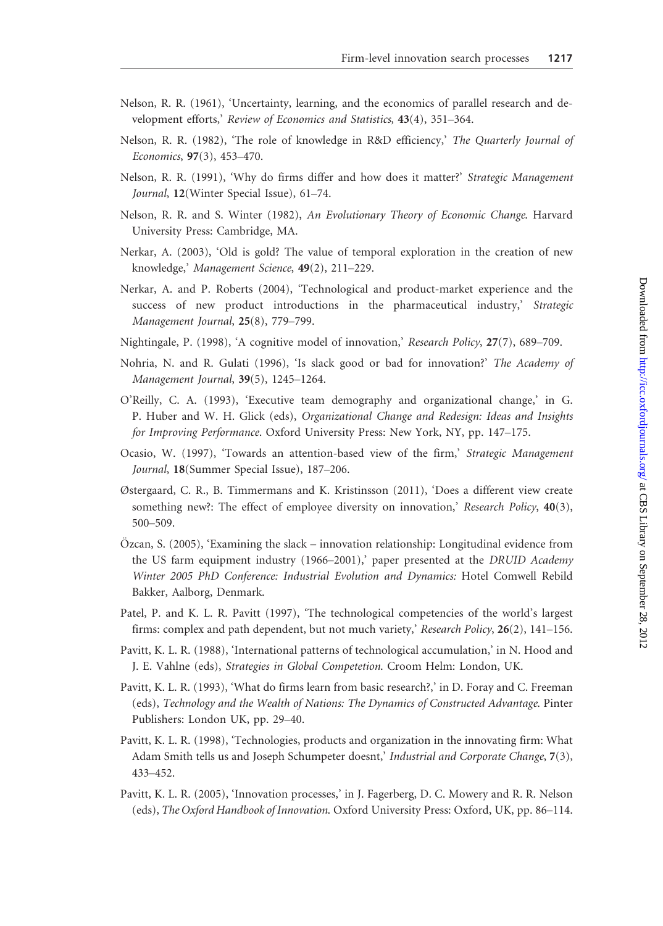- <span id="page-36-0"></span>Nelson, R. R. (1961), 'Uncertainty, learning, and the economics of parallel research and development efforts,' Review of Economics and Statistics, 43(4), 351–364.
- Nelson, R. R. (1982), 'The role of knowledge in R&D efficiency,' The Quarterly Journal of Economics, 97(3), 453–470.
- Nelson, R. R. (1991), 'Why do firms differ and how does it matter?' Strategic Management Journal, 12(Winter Special Issue), 61–74.
- Nelson, R. R. and S. Winter (1982), An Evolutionary Theory of Economic Change. Harvard University Press: Cambridge, MA.
- Nerkar, A. (2003), 'Old is gold? The value of temporal exploration in the creation of new knowledge,' Management Science, 49(2), 211–229.
- Nerkar, A. and P. Roberts (2004), 'Technological and product-market experience and the success of new product introductions in the pharmaceutical industry,' Strategic Management Journal, 25(8), 779–799.
- Nightingale, P. (1998), 'A cognitive model of innovation,' Research Policy, 27(7), 689–709.
- Nohria, N. and R. Gulati (1996), 'Is slack good or bad for innovation?' The Academy of Management Journal, 39(5), 1245–1264.
- O'Reilly, C. A. (1993), 'Executive team demography and organizational change,' in G. P. Huber and W. H. Glick (eds), Organizational Change and Redesign: Ideas and Insights for Improving Performance. Oxford University Press: New York, NY, pp. 147–175.
- Ocasio, W. (1997), 'Towards an attention-based view of the firm,' Strategic Management Journal, 18(Summer Special Issue), 187–206.
- Østergaard, C. R., B. Timmermans and K. Kristinsson (2011), 'Does a different view create something new?: The effect of employee diversity on innovation,' Research Policy, 40(3), 500–509.
- $Ozcan, S. (2005), 'Examining the slack innovation relationship: Longitudinal evidence from$ the US farm equipment industry (1966–2001),' paper presented at the DRUID Academy Winter 2005 PhD Conference: Industrial Evolution and Dynamics: Hotel Comwell Rebild Bakker, Aalborg, Denmark.
- Patel, P. and K. L. R. Pavitt (1997), 'The technological competencies of the world's largest firms: complex and path dependent, but not much variety,' Research Policy, 26(2), 141–156.
- Pavitt, K. L. R. (1988), 'International patterns of technological accumulation,' in N. Hood and J. E. Vahlne (eds), Strategies in Global Competetion. Croom Helm: London, UK.
- Pavitt, K. L. R. (1993), 'What do firms learn from basic research?,' in D. Foray and C. Freeman (eds), Technology and the Wealth of Nations: The Dynamics of Constructed Advantage. Pinter Publishers: London UK, pp. 29–40.
- Pavitt, K. L. R. (1998), 'Technologies, products and organization in the innovating firm: What Adam Smith tells us and Joseph Schumpeter doesnt,' Industrial and Corporate Change, 7(3), 433–452.
- Pavitt, K. L. R. (2005), 'Innovation processes,' in J. Fagerberg, D. C. Mowery and R. R. Nelson (eds), The Oxford Handbook of Innovation. Oxford University Press: Oxford, UK, pp. 86–114.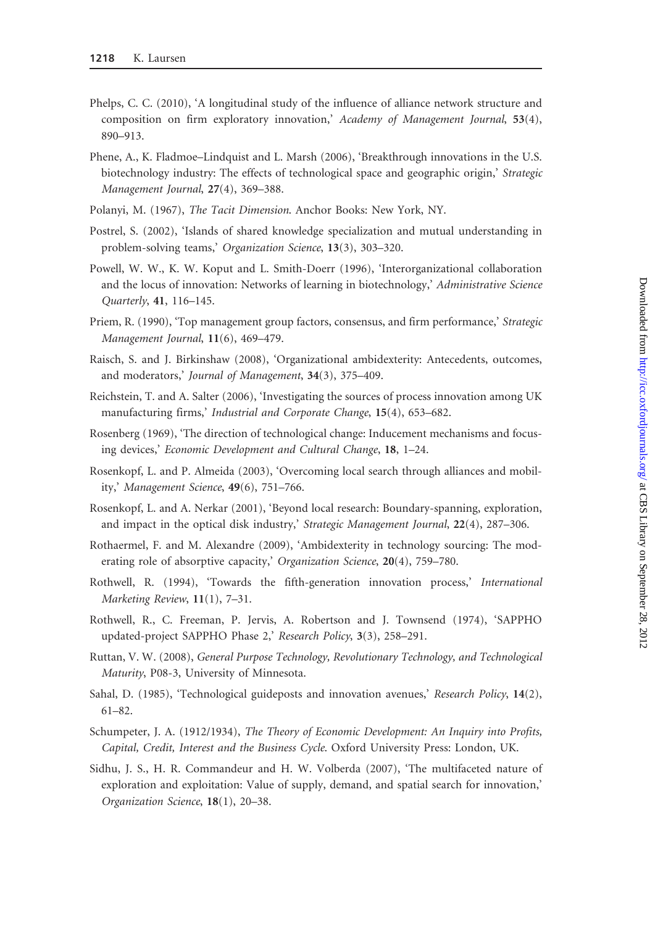- <span id="page-37-0"></span>Phelps, C. C. (2010), 'A longitudinal study of the influence of alliance network structure and composition on firm exploratory innovation,' Academy of Management Journal, 53(4), 890–913.
- Phene, A., K. Fladmoe–Lindquist and L. Marsh (2006), 'Breakthrough innovations in the U.S. biotechnology industry: The effects of technological space and geographic origin,' Strategic Management Journal, 27(4), 369–388.
- Polanyi, M. (1967), The Tacit Dimension. Anchor Books: New York, NY.
- Postrel, S. (2002), 'Islands of shared knowledge specialization and mutual understanding in problem-solving teams,' Organization Science, 13(3), 303–320.
- Powell, W. W., K. W. Koput and L. Smith-Doerr (1996), 'Interorganizational collaboration and the locus of innovation: Networks of learning in biotechnology,' Administrative Science Quarterly, 41, 116–145.
- Priem, R. (1990), 'Top management group factors, consensus, and firm performance,' Strategic Management Journal, 11(6), 469–479.
- Raisch, S. and J. Birkinshaw (2008), 'Organizational ambidexterity: Antecedents, outcomes, and moderators,' Journal of Management, 34(3), 375–409.
- Reichstein, T. and A. Salter (2006), 'Investigating the sources of process innovation among UK manufacturing firms,' Industrial and Corporate Change, 15(4), 653–682.
- Rosenberg (1969), 'The direction of technological change: Inducement mechanisms and focusing devices,' Economic Development and Cultural Change, 18, 1–24.
- Rosenkopf, L. and P. Almeida (2003), 'Overcoming local search through alliances and mobility,' Management Science, 49(6), 751–766.
- Rosenkopf, L. and A. Nerkar (2001), 'Beyond local research: Boundary-spanning, exploration, and impact in the optical disk industry,' Strategic Management Journal, 22(4), 287-306.
- Rothaermel, F. and M. Alexandre (2009), 'Ambidexterity in technology sourcing: The moderating role of absorptive capacity,' Organization Science, 20(4), 759-780.
- Rothwell, R. (1994), 'Towards the fifth-generation innovation process,' International Marketing Review, 11(1), 7–31.
- Rothwell, R., C. Freeman, P. Jervis, A. Robertson and J. Townsend (1974), 'SAPPHO updated-project SAPPHO Phase 2,' Research Policy, 3(3), 258–291.
- Ruttan, V. W. (2008), General Purpose Technology, Revolutionary Technology, and Technological Maturity, P08-3, University of Minnesota.
- Sahal, D. (1985), 'Technological guideposts and innovation avenues,' Research Policy, 14(2), 61–82.
- Schumpeter, J. A. (1912/1934), The Theory of Economic Development: An Inquiry into Profits, Capital, Credit, Interest and the Business Cycle. Oxford University Press: London, UK.
- Sidhu, J. S., H. R. Commandeur and H. W. Volberda (2007), 'The multifaceted nature of exploration and exploitation: Value of supply, demand, and spatial search for innovation,' Organization Science, 18(1), 20–38.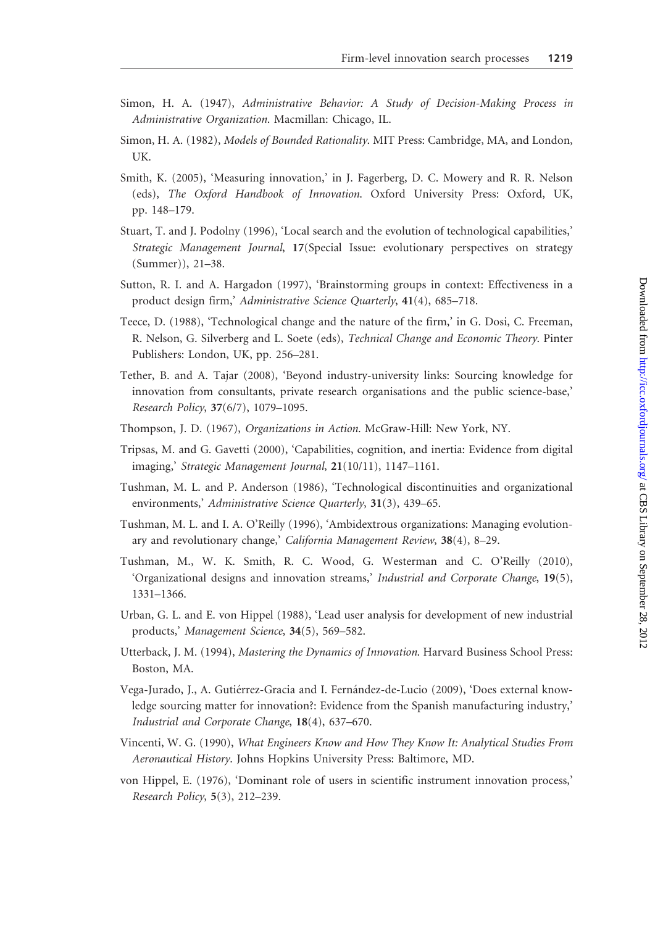- <span id="page-38-0"></span>Simon, H. A. (1947), Administrative Behavior: A Study of Decision-Making Process in Administrative Organization. Macmillan: Chicago, IL.
- Simon, H. A. (1982), Models of Bounded Rationality. MIT Press: Cambridge, MA, and London, UK.
- Smith, K. (2005), 'Measuring innovation,' in J. Fagerberg, D. C. Mowery and R. R. Nelson (eds), The Oxford Handbook of Innovation. Oxford University Press: Oxford, UK, pp. 148–179.
- Stuart, T. and J. Podolny (1996), 'Local search and the evolution of technological capabilities,' Strategic Management Journal, 17(Special Issue: evolutionary perspectives on strategy (Summer)), 21–38.
- Sutton, R. I. and A. Hargadon (1997), 'Brainstorming groups in context: Effectiveness in a product design firm,' Administrative Science Quarterly, 41(4), 685–718.
- Teece, D. (1988), 'Technological change and the nature of the firm,' in G. Dosi, C. Freeman, R. Nelson, G. Silverberg and L. Soete (eds), Technical Change and Economic Theory. Pinter Publishers: London, UK, pp. 256–281.
- Tether, B. and A. Tajar (2008), 'Beyond industry-university links: Sourcing knowledge for innovation from consultants, private research organisations and the public science-base,' Research Policy, 37(6/7), 1079–1095.
- Thompson, J. D. (1967), Organizations in Action. McGraw-Hill: New York, NY.
- Tripsas, M. and G. Gavetti (2000), 'Capabilities, cognition, and inertia: Evidence from digital imaging,' Strategic Management Journal, 21(10/11), 1147–1161.
- Tushman, M. L. and P. Anderson (1986), 'Technological discontinuities and organizational environments,' Administrative Science Quarterly, 31(3), 439–65.
- Tushman, M. L. and I. A. O'Reilly (1996), 'Ambidextrous organizations: Managing evolutionary and revolutionary change,' California Management Review, 38(4), 8–29.
- Tushman, M., W. K. Smith, R. C. Wood, G. Westerman and C. O'Reilly (2010), 'Organizational designs and innovation streams,' Industrial and Corporate Change, 19(5), 1331–1366.
- Urban, G. L. and E. von Hippel (1988), 'Lead user analysis for development of new industrial products,' Management Science, 34(5), 569-582.
- Utterback, J. M. (1994), Mastering the Dynamics of Innovation. Harvard Business School Press: Boston, MA.
- Vega-Jurado, J., A. Gutiérrez-Gracia and I. Fernández-de-Lucio (2009), 'Does external knowledge sourcing matter for innovation?: Evidence from the Spanish manufacturing industry,' Industrial and Corporate Change, 18(4), 637–670.
- Vincenti, W. G. (1990), What Engineers Know and How They Know It: Analytical Studies From Aeronautical History. Johns Hopkins University Press: Baltimore, MD.
- von Hippel, E. (1976), 'Dominant role of users in scientific instrument innovation process,' Research Policy, 5(3), 212–239.